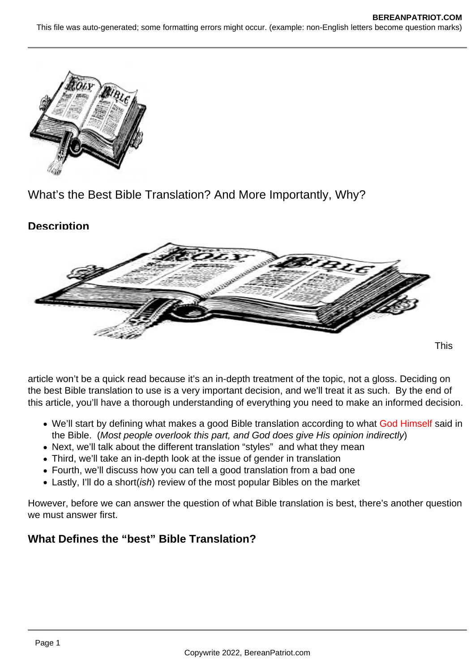

What's the Best Bible Translation? And More Importantly, Why?

# **Description**



article won't be a quick read because it's an in-depth treatment of the topic, not a gloss. Deciding on the best Bible translation to use is a very important decision, and we'll treat it as such. By the end of this article, you'll have a thorough understanding of everything you need to make an informed decision.

- We'll start by defining what makes a good Bible translation according to what God Himself said in the Bible. (Most people overlook this part, and God does give His opinion indirectly)
- Next, we'll talk about the different translation "styles" and what they mean
- Third, we'll take an in-depth look at the issue of gender in translation
- Fourth, we'll discuss how you can tell a good translation from a bad one
- Lastly, I'll do a short(*ish*) review of the most popular Bibles on the market

However, before we can answer the question of what Bible translation is best, there's another question we must answer first.

# **What Defines the "best" Bible Translation?**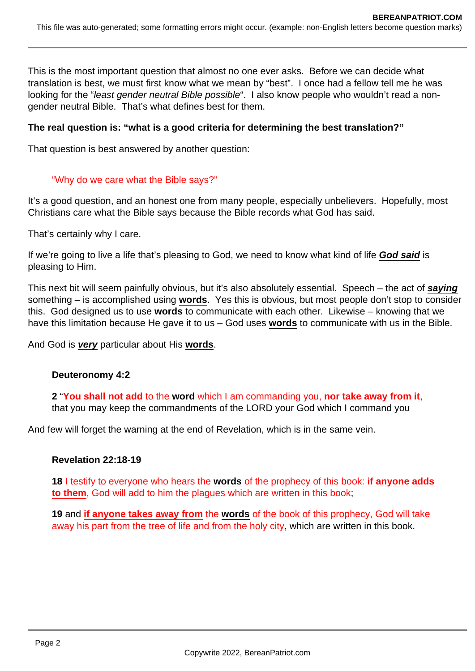This is the most important question that almost no one ever asks. Before we can decide what translation is best, we must first know what we mean by "best". I once had a fellow tell me he was looking for the "least gender neutral Bible possible". I also know people who wouldn't read a nongender neutral Bible. That's what defines best for them.

### **The real question is: "what is a good criteria for determining the best translation?"**

That question is best answered by another question:

#### "Why do we care what the Bible says?"

It's a good question, and an honest one from many people, especially unbelievers. Hopefully, most Christians care what the Bible says because the Bible records what God has said.

That's certainly why I care.

If we're going to live a life that's pleasing to God, we need to know what kind of life **God said** is pleasing to Him.

This next bit will seem painfully obvious, but it's also absolutely essential. Speech – the act of **saying** something – is accomplished using **words**. Yes this is obvious, but most people don't stop to consider this. God designed us to use **words** to communicate with each other. Likewise – knowing that we have this limitation because He gave it to us – God uses **words** to communicate with us in the Bible.

And God is **very** particular about His **words**.

#### **Deuteronomy 4:2**

**2** "**You shall not add** to the **word** which I am commanding you, **nor take away from it**, that you may keep the commandments of the LORD your God which I command you

And few will forget the warning at the end of Revelation, which is in the same vein.

#### **Revelation 22:18-19**

**18** I testify to everyone who hears the **words** of the prophecy of this book: **if anyone adds to them**, God will add to him the plagues which are written in this book;

**19** and **if anyone takes away from** the **words** of the book of this prophecy, God will take away his part from the tree of life and from the holy city, which are written in this book.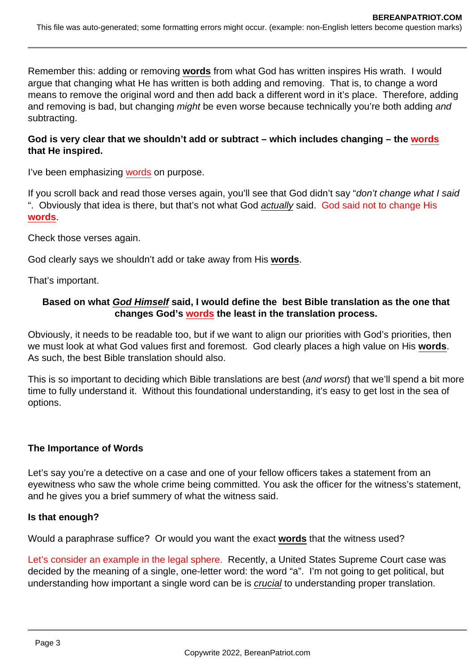Remember this: adding or removing **words** from what God has written inspires His wrath. I would argue that changing what He has written is both adding and removing. That is, to change a word means to remove the original word and then add back a different word in it's place. Therefore, adding and removing is bad, but changing *might* be even worse because technically you're both adding and subtracting.

### **God is very clear that we shouldn't add or subtract – which includes changing – the words that He inspired.**

I've been emphasizing words on purpose.

If you scroll back and read those verses again, you'll see that God didn't say "don't change what I said ". Obviously that idea is there, but that's not what God actually said. God said not to change His **words**.

Check those verses again.

God clearly says we shouldn't add or take away from His **words**.

That's important.

### **Based on what God Himself said, I would define the best Bible translation as the one that changes God's words the least in the translation process.**

Obviously, it needs to be readable too, but if we want to align our priorities with God's priorities, then we must look at what God values first and foremost. God clearly places a high value on His **words**. As such, the best Bible translation should also.

This is so important to deciding which Bible translations are best (and worst) that we'll spend a bit more time to fully understand it. Without this foundational understanding, it's easy to get lost in the sea of options.

### **The Importance of Words**

Let's say you're a detective on a case and one of your fellow officers takes a statement from an eyewitness who saw the whole crime being committed. You ask the officer for the witness's statement, and he gives you a brief summery of what the witness said.

#### **Is that enough?**

Would a paraphrase suffice? Or would you want the exact **words** that the witness used?

Let's consider an example in the legal sphere. Recently, a United States Supreme Court case was decided by the meaning of a single, one-letter word: the word "a". I'm not going to get political, but understanding how important a single word can be is crucial to understanding proper translation.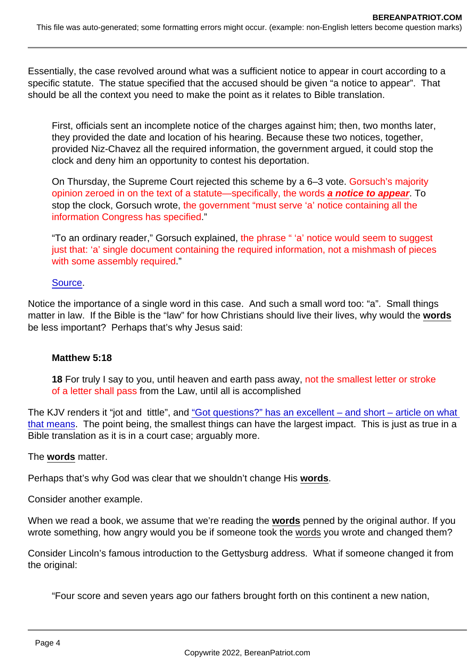Essentially, the case revolved around what was a sufficient notice to appear in court according to a specific statute. The statue specified that the accused should be given "a notice to appear". That should be all the context you need to make the point as it relates to Bible translation.

First, officials sent an incomplete notice of the charges against him; then, two months later, they provided the date and location of his hearing. Because these two notices, together, provided Niz-Chavez all the required information, the government argued, it could stop the clock and deny him an opportunity to contest his deportation.

On Thursday, the Supreme Court rejected this scheme by a 6–3 vote. Gorsuch's majority opinion zeroed in on the text of a statute—specifically, the words a notice to appear . To stop the clock, Gorsuch wrote, the government "must serve 'a' notice containing all the information Congress has specified."

"To an ordinary reader," Gorsuch explained, the phrase " 'a' notice would seem to suggest just that: 'a' single document containing the required information, not a mishmash of pieces with some assembly required."

### [Source](https://slate.com/news-and-politics/2021/04/gorsuch-libertarian-textualist-immigrant-rights.html).

Notice the importance of a single word in this case. And such a small word too: "a". Small things matter in law. If the Bible is the "law" for how Christians should live their lives, why would the words be less important? Perhaps that's why Jesus said:

#### Matthew 5:18

18 For truly I say to you, until heaven and earth pass away, not the smallest letter or stroke of a letter shall pass from the Law, until all is accomplished

The KJV renders it "jot and tittle", and ["Got questions?" has an excellent – and short – article on what](https://www.gotquestions.org/jot-tittle.html)  [that means](https://www.gotquestions.org/jot-tittle.html). The point being, the smallest things can have the largest impact. This is just as true in a Bible translation as it is in a court case; arguably more.

The words matter.

Perhaps that's why God was clear that we shouldn't change His words .

Consider another example.

When we read a book, we assume that we're reading the words penned by the original author. If you wrote something, how angry would you be if someone took the words you wrote and changed them?

Consider Lincoln's famous introduction to the Gettysburg address. What if someone changed it from the original:

"Four score and seven years ago our fathers brought forth on this continent a new nation,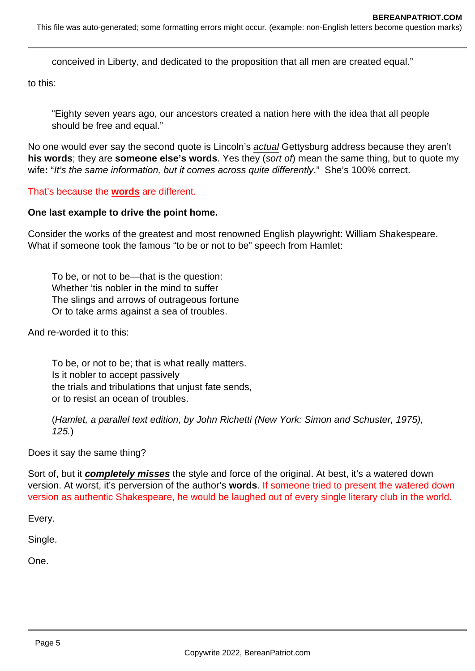This file was auto-generated; some formatting errors might occur. (example: non-English letters become question marks)

conceived in Liberty, and dedicated to the proposition that all men are created equal."

to this:

"Eighty seven years ago, our ancestors created a nation here with the idea that all people should be free and equal."

No one would ever say the second quote is Lincoln's actual Gettysburg address because they aren't **his words**; they are **someone else's words**. Yes they (sort of) mean the same thing, but to quote my wife: "It's the same information, but it comes across quite differently." She's 100% correct.

That's because the **words** are different.

#### **One last example to drive the point home.**

Consider the works of the greatest and most renowned English playwright: William Shakespeare. What if someone took the famous "to be or not to be" speech from Hamlet:

To be, or not to be—that is the question: Whether 'tis nobler in the mind to suffer The slings and arrows of outrageous fortune Or to take arms against a sea of troubles.

And re-worded it to this:

To be, or not to be; that is what really matters. Is it nobler to accept passively the trials and tribulations that unjust fate sends, or to resist an ocean of troubles.

(Hamlet, a parallel text edition, by John Richetti (New York: Simon and Schuster, 1975), 125.)

Does it say the same thing?

Sort of, but it **completely misses** the style and force of the original. At best, it's a watered down version. At worst, it's perversion of the author's **words**. If someone tried to present the watered down version as authentic Shakespeare, he would be laughed out of every single literary club in the world.

Every.

Single.

One.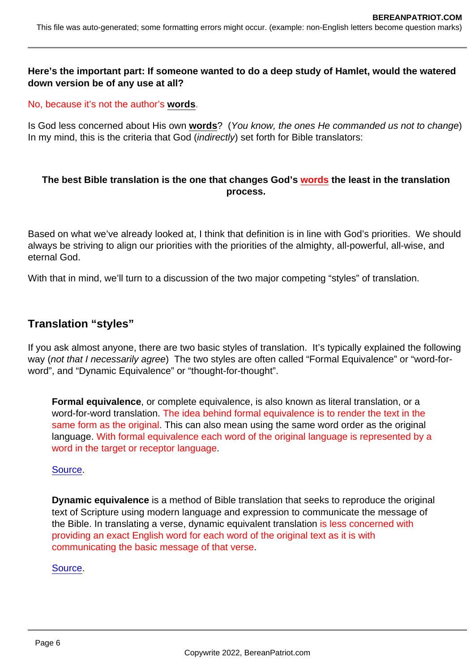Here's the important part: If someone wanted to do a deep study of Hamlet, would the watered down version be of any use at all?

No, because it's not the author's words .

Is God less concerned about His own words ? (You know, the ones He commanded us not to change) In my mind, this is the criteria that God (indirectly) set forth for Bible translators:

The best Bible translation is the one that changes God's words the least in the translation process.

Based on what we've already looked at, I think that definition is in line with God's priorities. We should always be striving to align our priorities with the priorities of the almighty, all-powerful, all-wise, and eternal God.

With that in mind, we'll turn to a discussion of the two major competing "styles" of translation.

### Translation "styles"

If you ask almost anyone, there are two basic styles of translation. It's typically explained the following way (not that I necessarily agree) The two styles are often called "Formal Equivalence" or "word-forword", and "Dynamic Equivalence" or "thought-for-thought".

Formal equivalence , or complete equivalence, is also known as literal translation, or a word-for-word translation. The idea behind formal equivalence is to render the text in the same form as the original. This can also mean using the same word order as the original language. With formal equivalence each word of the original language is represented by a word in the target or receptor language.

#### [Source](https://www.blueletterbible.org/Comm/stewart_don/faq/bible-translations/question7-major-theories-of-bible-translation.cfm).

Dynamic equivalence is a method of Bible translation that seeks to reproduce the original text of Scripture using modern language and expression to communicate the message of the Bible. In translating a verse, dynamic equivalent translation is less concerned with providing an exact English word for each word of the original text as it is with communicating the basic message of that verse.

#### [Source](https://www.gotquestions.org/dynamic-equivalence.html).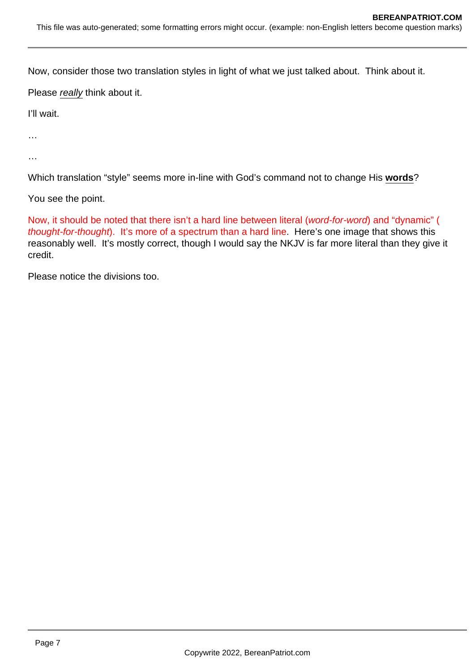Now, consider those two translation styles in light of what we just talked about. Think about it.

Please really think about it.

I'll wait.

…

…

Which translation "style" seems more in-line with God's command not to change His **words**?

You see the point.

Now, it should be noted that there isn't a hard line between literal (word-for-word) and "dynamic" ( thought-for-thought). It's more of a spectrum than a hard line. Here's one image that shows this reasonably well. It's mostly correct, though I would say the NKJV is far more literal than they give it credit.

Please notice the divisions too.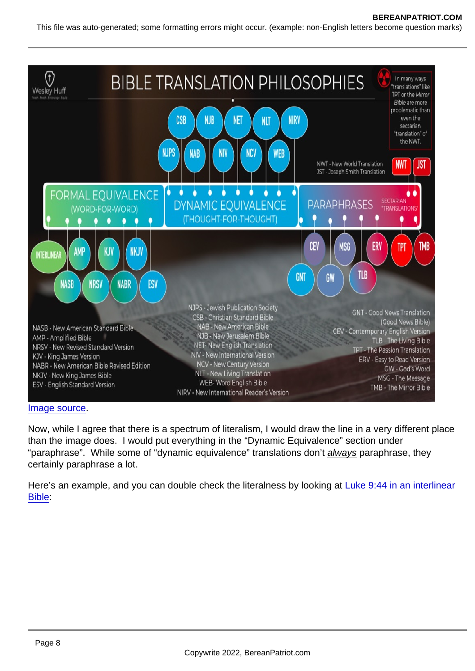#### [Image source.](https://www.wesleyhuff.com/blog/2020/10/13/one-bible-many-versions)

Now, while I agree that there is a spectrum of literalism, I would draw the line in a very different place than the image does. I would put everything in the "Dynamic Equivalence" section under "paraphrase". While some of "dynamic equivalence" translations don't always paraphrase, they certainly paraphrase a lot.

Here's an example, and you can double check the literalness by looking at [Luke 9:44 in an interlinear](https://biblehub.com/interlinear/luke/9-44.htm)  [Bible:](https://biblehub.com/interlinear/luke/9-44.htm)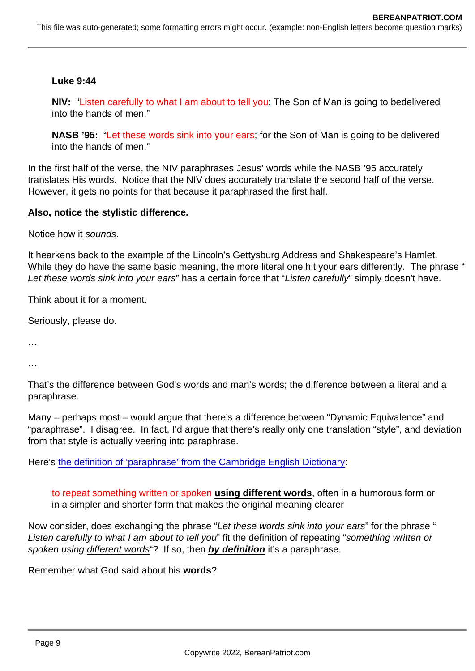### Luke 9:44

NIV: "Listen carefully to what I am about to tell you: The Son of Man is going to bedelivered into the hands of men."

NASB '95: "Let these words sink into your ears; for the Son of Man is going to be delivered into the hands of men."

In the first half of the verse, the NIV paraphrases Jesus' words while the NASB '95 accurately translates His words. Notice that the NIV does accurately translate the second half of the verse. However, it gets no points for that because it paraphrased the first half.

Also, notice the stylistic difference.

Notice how it sounds.

It hearkens back to the example of the Lincoln's Gettysburg Address and Shakespeare's Hamlet. While they do have the same basic meaning, the more literal one hit your ears differently. The phrase " Let these words sink into your ears" has a certain force that "Listen carefully" simply doesn't have.

Think about it for a moment.

Seriously, please do.

…

…

That's the difference between God's words and man's words; the difference between a literal and a paraphrase.

Many – perhaps most – would argue that there's a difference between "Dynamic Equivalence" and "paraphrase". I disagree. In fact, I'd argue that there's really only one translation "style", and deviation from that style is actually veering into paraphrase.

Here's [the definition of 'paraphrase' from the Cambridge English Dictionary](https://dictionary.cambridge.org/dictionary/english/paraphrase):

to repeat something written or spoken using different words , often in a humorous form or in a simpler and shorter form that makes the original meaning clearer

Now consider, does exchanging the phrase "Let these words sink into your ears" for the phrase " Listen carefully to what I am about to tell you" fit the definition of repeating "something written or spoken using different words "? If so, then by definition it's a paraphrase.

Remember what God said about his words ?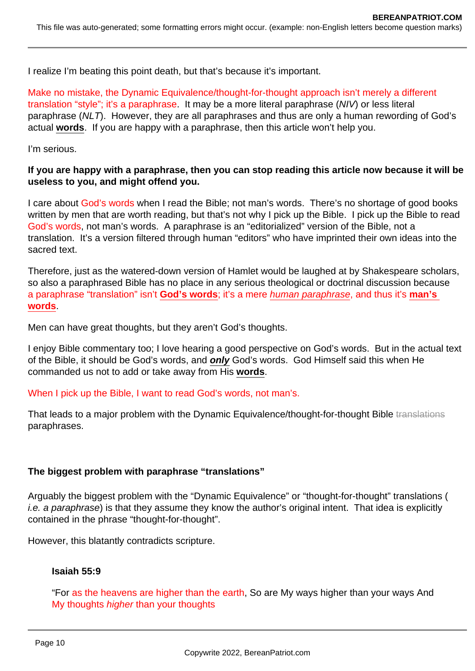I realize I'm beating this point death, but that's because it's important.

Make no mistake, the Dynamic Equivalence/thought-for-thought approach isn't merely a different translation "style"; it's a paraphrase. It may be a more literal paraphrase (NIV) or less literal paraphrase (NLT). However, they are all paraphrases and thus are only a human rewording of God's actual **words**. If you are happy with a paraphrase, then this article won't help you.

I'm serious.

### **If you are happy with a paraphrase, then you can stop reading this article now because it will be useless to you, and might offend you.**

I care about God's words when I read the Bible; not man's words. There's no shortage of good books written by men that are worth reading, but that's not why I pick up the Bible. I pick up the Bible to read God's words, not man's words. A paraphrase is an "editorialized" version of the Bible, not a translation. It's a version filtered through human "editors" who have imprinted their own ideas into the sacred text.

Therefore, just as the watered-down version of Hamlet would be laughed at by Shakespeare scholars, so also a paraphrased Bible has no place in any serious theological or doctrinal discussion because a paraphrase "translation" isn't **God's words**; it's a mere human paraphrase, and thus it's **man's words**.

Men can have great thoughts, but they aren't God's thoughts.

I enjoy Bible commentary too; I love hearing a good perspective on God's words. But in the actual text of the Bible, it should be God's words, and **only** God's words. God Himself said this when He commanded us not to add or take away from His **words**.

When I pick up the Bible, I want to read God's words, not man's.

That leads to a major problem with the Dynamic Equivalence/thought-for-thought Bible translations paraphrases.

### **The biggest problem with paraphrase "translations"**

Arguably the biggest problem with the "Dynamic Equivalence" or "thought-for-thought" translations ( i.e. a paraphrase) is that they assume they know the author's original intent. That idea is explicitly contained in the phrase "thought-for-thought".

However, this blatantly contradicts scripture.

### **Isaiah 55:9**

"For as the heavens are higher than the earth, So are My ways higher than your ways And My thoughts higher than your thoughts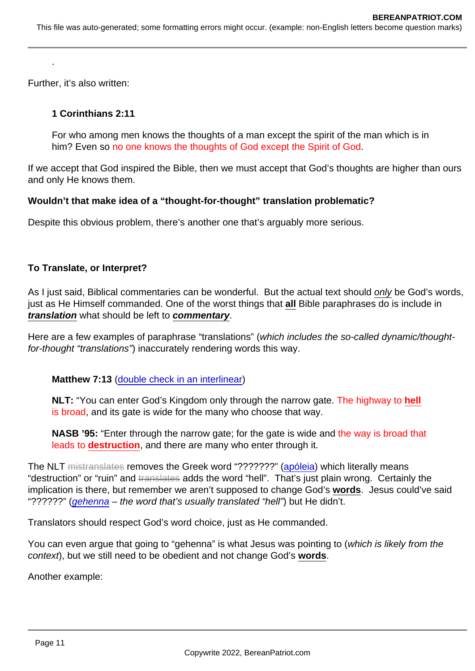Further, it's also written:

.

1 Corinthians 2:11

For who among men knows the thoughts of a man except the spirit of the man which is in him? Even so no one knows the thoughts of God except the Spirit of God.

If we accept that God inspired the Bible, then we must accept that God's thoughts are higher than ours and only He knows them.

Wouldn't that make idea of a "thought-for-thought" translation problematic?

Despite this obvious problem, there's another one that's arguably more serious.

To Translate, or Interpret?

As I just said, Biblical commentaries can be wonderful. But the actual text should only be God's words, just as He Himself commanded. One of the worst things that all Bible paraphrases do is include in translation what should be left to commentary .

Here are a few examples of paraphrase "translations" (which includes the so-called dynamic/thoughtfor-thought "translations") inaccurately rendering words this way.

Matthew 7:13 ([double check in an interlinear\)](https://biblehub.com/interlinear/matthew/7-13.htm)

NLT: "You can enter God's Kingdom only through the narrow gate. The highway to hell is broad, and its gate is wide for the many who choose that way.

NASB '95: "Enter through the narrow gate; for the gate is wide and the way is broad that leads to destruction , and there are many who enter through it.

The NLT mistranslates removes the Greek word "???????" ([apóleia](https://biblehub.com/greek/684.htm)) which literally means "destruction" or "ruin" and translates adds the word "hell". That's just plain wrong. Certainly the implication is there, but remember we aren't supposed to change God's words . Jesus could've said "??????" [\(gehenna](https://biblehub.com/greek/1067.htm) – the word that's usually translated "hell") but He didn't.

Translators should respect God's word choice, just as He commanded.

You can even argue that going to "gehenna" is what Jesus was pointing to (which is likely from the context), but we still need to be obedient and not change God's words .

Another example: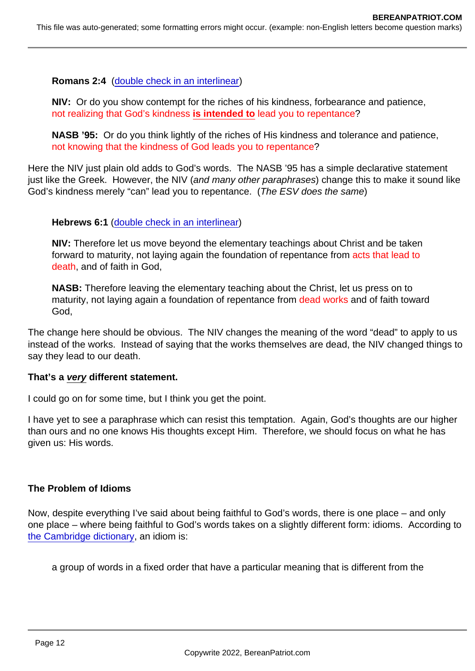Romans 2:4 ([double check in an interlinear\)](https://biblehub.com/interlinear/romans/2-4.htm)

NIV: Or do you show contempt for the riches of his kindness, forbearance and patience, not realizing that God's kindness is intended to lead you to repentance?

NASB '95: Or do you think lightly of the riches of His kindness and tolerance and patience, not knowing that the kindness of God leads you to repentance?

Here the NIV just plain old adds to God's words. The NASB '95 has a simple declarative statement just like the Greek. However, the NIV (and many other paraphrases) change this to make it sound like God's kindness merely "can" lead you to repentance. (The ESV does the same)

Hebrews 6:1 [\(double check in an interlinear](https://biblehub.com/interlinear/hebrews/6-1.htm))

NIV: Therefore let us move beyond the elementary teachings about Christ and be taken forward to maturity, not laying again the foundation of repentance from acts that lead to death, and of faith in God,

NASB: Therefore leaving the elementary teaching about the Christ, let us press on to maturity, not laying again a foundation of repentance from dead works and of faith toward God,

The change here should be obvious. The NIV changes the meaning of the word "dead" to apply to us instead of the works. Instead of saying that the works themselves are dead, the NIV changed things to say they lead to our death.

That's a very different statement.

I could go on for some time, but I think you get the point.

I have yet to see a paraphrase which can resist this temptation. Again, God's thoughts are our higher than ours and no one knows His thoughts except Him. Therefore, we should focus on what he has given us: His words.

The Problem of Idioms

Now, despite everything I've said about being faithful to God's words, there is one place – and only one place – where being faithful to God's words takes on a slightly different form: idioms. According to [the Cambridge dictionary](https://dictionary.cambridge.org/us/dictionary/english/idiom), an idiom is:

a group of words in a fixed order that have a particular meaning that is different from the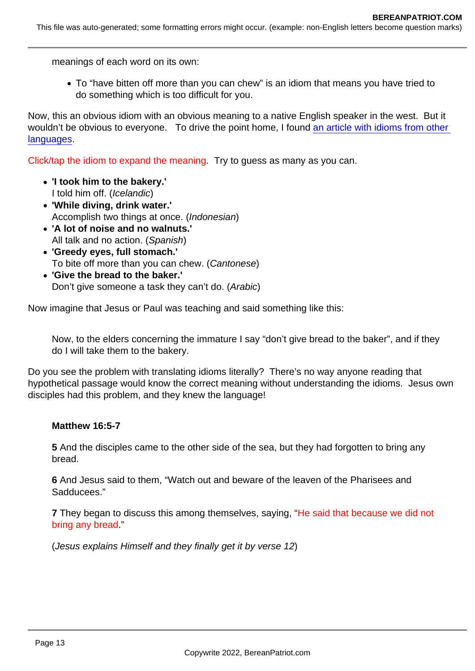meanings of each word on its own:

To "have bitten off more than you can chew" is an idiom that means you have tried to do something which is too difficult for you.

Now, this an obvious idiom with an obvious meaning to a native English speaker in the west. But it wouldn't be obvious to everyone. To drive the point home, I found an article with idioms from other [languages](https://takelessons.com/blog/idioms-in-different-languages-z14).

Click/tap the idiom to expand the meaning. Try to guess as many as you can.

- 'I took him to the bakery.' I told him off. (Icelandic)
- 'While diving, drink water.' Accomplish two things at once. (Indonesian)
- 'A lot of noise and no walnuts.' All talk and no action. (Spanish)
- 'Greedy eyes, full stomach.' To bite off more than you can chew. (Cantonese)
- 'Give the bread to the baker.' Don't give someone a task they can't do. (Arabic)

Now imagine that Jesus or Paul was teaching and said something like this:

Now, to the elders concerning the immature I say "don't give bread to the baker", and if they do I will take them to the bakery.

Do you see the problem with translating idioms literally? There's no way anyone reading that hypothetical passage would know the correct meaning without understanding the idioms. Jesus own disciples had this problem, and they knew the language!

Matthew 16:5-7

5 And the disciples came to the other side of the sea, but they had forgotten to bring any bread.

6 And Jesus said to them, "Watch out and beware of the leaven of the Pharisees and Sadducees."

7 They began to discuss this among themselves, saying, "He said that because we did not bring any bread."

(Jesus explains Himself and they finally get it by verse 12)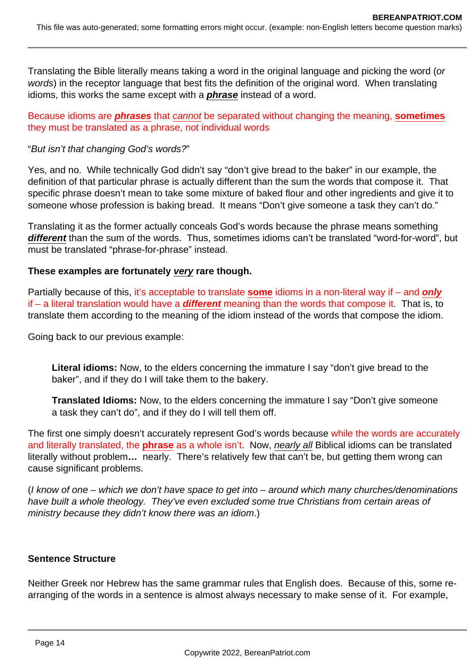Translating the Bible literally means taking a word in the original language and picking the word (or words) in the receptor language that best fits the definition of the original word. When translating idioms, this works the same except with a **phrase** instead of a word.

Because idioms are **phrases** that cannot be separated without changing the meaning, **sometimes** they must be translated as a phrase, not individual words

### "But isn't that changing God's words?"

Yes, and no. While technically God didn't say "don't give bread to the baker" in our example, the definition of that particular phrase is actually different than the sum the words that compose it. That specific phrase doesn't mean to take some mixture of baked flour and other ingredients and give it to someone whose profession is baking bread. It means "Don't give someone a task they can't do."

Translating it as the former actually conceals God's words because the phrase means something **different** than the sum of the words. Thus, sometimes idioms can't be translated "word-for-word", but must be translated "phrase-for-phrase" instead.

### **These examples are fortunately very rare though.**

Partially because of this, it's acceptable to translate **some** idioms in a non-literal way if – and **only** if – a literal translation would have a **different** meaning than the words that compose it. That is, to translate them according to the meaning of the idiom instead of the words that compose the idiom.

Going back to our previous example:

**Literal idioms:** Now, to the elders concerning the immature I say "don't give bread to the baker", and if they do I will take them to the bakery.

**Translated Idioms:** Now, to the elders concerning the immature I say "Don't give someone a task they can't do", and if they do I will tell them off.

The first one simply doesn't accurately represent God's words because while the words are accurately and literally translated, the **phrase** as a whole isn't. Now, nearly all Biblical idioms can be translated literally without problem**…** nearly. There's relatively few that can't be, but getting them wrong can cause significant problems.

(I know of one – which we don't have space to get into – around which many churches/denominations have built a whole theology. They've even excluded some true Christians from certain areas of ministry because they didn't know there was an idiom.)

#### **Sentence Structure**

Neither Greek nor Hebrew has the same grammar rules that English does. Because of this, some rearranging of the words in a sentence is almost always necessary to make sense of it. For example,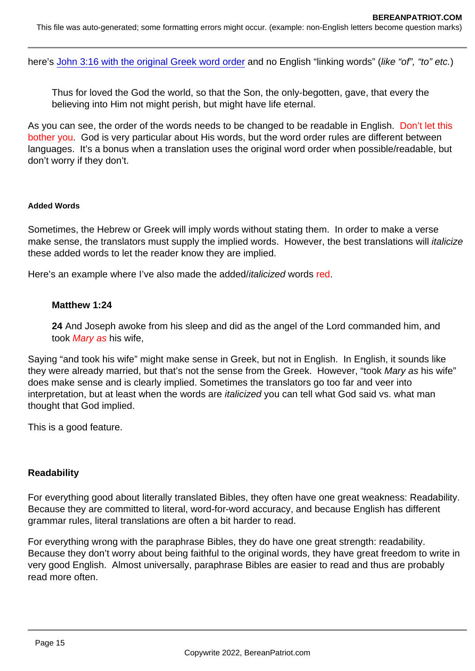here's [John 3:16 with the original Greek word order](https://biblehub.com/interlinear/john/3-16.htm) and no English "linking words" (like "of", "to" etc.)

Thus for loved the God the world, so that the Son, the only-begotten, gave, that every the believing into Him not might perish, but might have life eternal.

As you can see, the order of the words needs to be changed to be readable in English. Don't let this bother you. God is very particular about His words, but the word order rules are different between languages. It's a bonus when a translation uses the original word order when possible/readable, but don't worry if they don't.

#### Added Words

Sometimes, the Hebrew or Greek will imply words without stating them. In order to make a verse make sense, the translators must supply the implied words. However, the best translations will italicize these added words to let the reader know they are implied.

Here's an example where I've also made the added/italicized words red.

#### Matthew 1:24

24 And Joseph awoke from his sleep and did as the angel of the Lord commanded him, and took Mary as his wife,

Saying "and took his wife" might make sense in Greek, but not in English. In English, it sounds like they were already married, but that's not the sense from the Greek. However, "took Mary as his wife" does make sense and is clearly implied. Sometimes the translators go too far and veer into interpretation, but at least when the words are italicized you can tell what God said vs. what man thought that God implied.

This is a good feature.

#### **Readability**

For everything good about literally translated Bibles, they often have one great weakness: Readability. Because they are committed to literal, word-for-word accuracy, and because English has different grammar rules, literal translations are often a bit harder to read.

For everything wrong with the paraphrase Bibles, they do have one great strength: readability. Because they don't worry about being faithful to the original words, they have great freedom to write in very good English. Almost universally, paraphrase Bibles are easier to read and thus are probably read more often.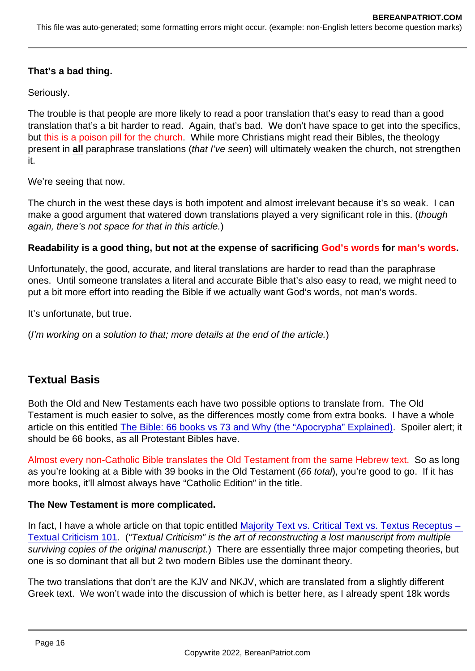That's a bad thing.

Seriously.

The trouble is that people are more likely to read a poor translation that's easy to read than a good translation that's a bit harder to read. Again, that's bad. We don't have space to get into the specifics, but this is a poison pill for the church. While more Christians might read their Bibles, the theology present in all paraphrase translations (that I've seen) will ultimately weaken the church, not strengthen it.

We're seeing that now.

The church in the west these days is both impotent and almost irrelevant because it's so weak. I can make a good argument that watered down translations played a very significant role in this. (though again, there's not space for that in this article.)

Readability is a good thing, but not at the expense of sacrificing God's words for man's words.

Unfortunately, the good, accurate, and literal translations are harder to read than the paraphrase ones. Until someone translates a literal and accurate Bible that's also easy to read, we might need to put a bit more effort into reading the Bible if we actually want God's words, not man's words.

It's unfortunate, but true.

(I'm working on a solution to that; more details at the end of the article.)

## Textual Basis

Both the Old and New Testaments each have two possible options to translate from. The Old Testament is much easier to solve, as the differences mostly come from extra books. I have a whole article on this entitled [The Bible: 66 books vs 73 and Why \(the "Apocrypha" Explained\).](https://www.bereanpatriot.com/the-bible-66-books-vs-73-and-why-the-apocrypha-explained/) Spoiler alert; it should be 66 books, as all Protestant Bibles have.

Almost every non-Catholic Bible translates the Old Testament from the same Hebrew text. So as long as you're looking at a Bible with 39 books in the Old Testament (66 total), you're good to go. If it has more books, it'll almost always have "Catholic Edition" in the title.

The New Testament is more complicated.

In fact, I have a whole article on that topic entitled [Majority Text vs. Critical Text vs. Textus Receptus –](https://www.bereanpatriot.com/majority-text-vs-critical-text-vs-textus-receptus-textual-criticism-101/)  [Textual Criticism 101](https://www.bereanpatriot.com/majority-text-vs-critical-text-vs-textus-receptus-textual-criticism-101/). ("Textual Criticism" is the art of reconstructing a lost manuscript from multiple surviving copies of the original manuscript.) There are essentially three major competing theories, but one is so dominant that all but 2 two modern Bibles use the dominant theory.

The two translations that don't are the KJV and NKJV, which are translated from a slightly different Greek text. We won't wade into the discussion of which is better here, as I already spent 18k words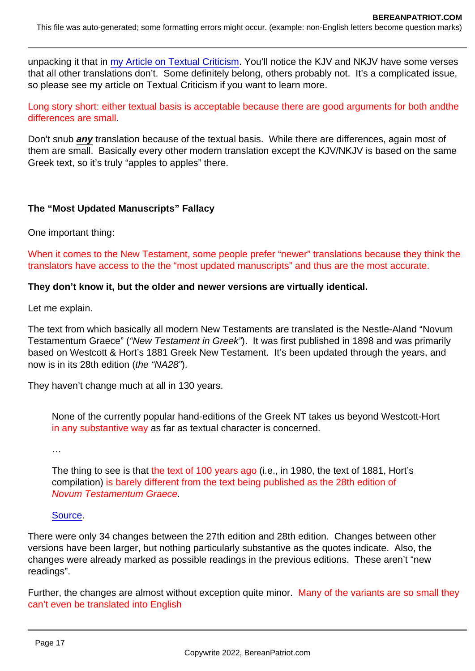unpacking it that in [my Article on Textual Criticism.](https://www.bereanpatriot.com/majority-text-vs-critical-text-vs-textus-receptus-textual-criticism-101/) You'll notice the KJV and NKJV have some verses that all other translations don't. Some definitely belong, others probably not. It's a complicated issue, so please see my article on Textual Criticism if you want to learn more.

Long story short: either textual basis is acceptable because there are good arguments for both andthe differences are small.

Don't snub any translation because of the textual basis. While there are differences, again most of them are small. Basically every other modern translation except the KJV/NKJV is based on the same Greek text, so it's truly "apples to apples" there.

The "Most Updated Manuscripts" Fallacy

One important thing:

When it comes to the New Testament, some people prefer "newer" translations because they think the translators have access to the the "most updated manuscripts" and thus are the most accurate.

They don't know it, but the older and newer versions are virtually identical.

Let me explain.

The text from which basically all modern New Testaments are translated is the Nestle-Aland "Novum Testamentum Graece" ("New Testament in Greek"). It was first published in 1898 and was primarily based on Westcott & Hort's 1881 Greek New Testament. It's been updated through the years, and now is in its 28th edition (the "NA28").

They haven't change much at all in 130 years.

None of the currently popular hand-editions of the Greek NT takes us beyond Westcott-Hort in any substantive way as far as textual character is concerned.

…

The thing to see is that the text of 100 years ago (i.e., in 1980, the text of 1881, Hort's compilation) is barely different from the text being published as the 28th edition of Novum Testamentum Graece.

#### [Source](https://www.thetextofthegospels.com/2018/05/n-in-2018-and-w-h-in-1881-how-similar.html).

There were only 34 changes between the 27th edition and 28th edition. Changes between other versions have been larger, but nothing particularly substantive as the quotes indicate. Also, the changes were already marked as possible readings in the previous editions. These aren't "new readings".

Further, the changes are almost without exception quite minor. Many of the variants are so small they can't even be translated into English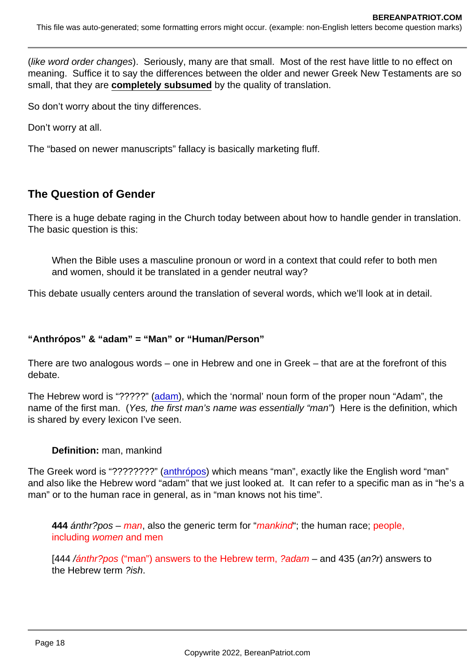(like word order changes). Seriously, many are that small. Most of the rest have little to no effect on meaning. Suffice it to say the differences between the older and newer Greek New Testaments are so small, that they are completely subsumed by the quality of translation.

So don't worry about the tiny differences.

Don't worry at all.

The "based on newer manuscripts" fallacy is basically marketing fluff.

## The Question of Gender

There is a huge debate raging in the Church today between about how to handle gender in translation. The basic question is this:

When the Bible uses a masculine pronoun or word in a context that could refer to both men and women, should it be translated in a gender neutral way?

This debate usually centers around the translation of several words, which we'll look at in detail.

"Anthrópos" & "adam" = "Man" or "Human/Person"

There are two analogous words – one in Hebrew and one in Greek – that are at the forefront of this debate.

The Hebrew word is "?????" ([adam\)](https://biblehub.com/hebrew/120.htm), which the 'normal' noun form of the proper noun "Adam", the name of the first man. (Yes, the first man's name was essentially "man") Here is the definition, which is shared by every lexicon I've seen.

Definition: man, mankind

The Greek word is "????????" [\(anthrópos](https://biblehub.com/greek/444.htm)) which means "man", exactly like the English word "man" and also like the Hebrew word "adam" that we just looked at. It can refer to a specific man as in "he's a man" or to the human race in general, as in "man knows not his time".

444 anthr?pos – man, also the generic term for "mankind"; the human race; people, including women and men

[444 /ánthr?pos ("man") answers to the Hebrew term, ?adam – and 435 (an?r) answers to the Hebrew term ?ish.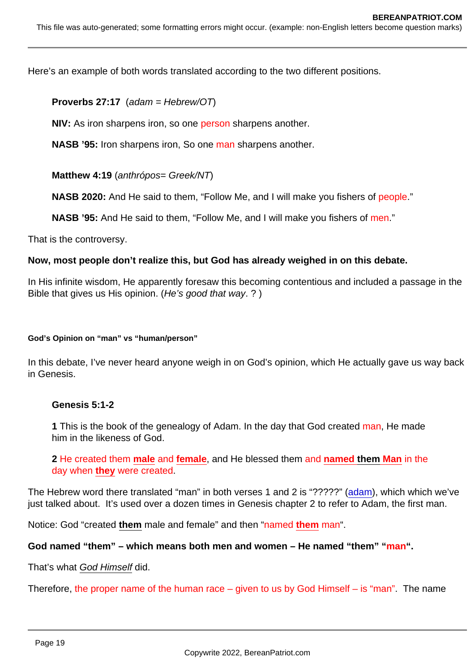Here's an example of both words translated according to the two different positions.

Proverbs 27:17 (adam = Hebrew/OT)

NIV: As iron sharpens iron, so one person sharpens another.

NASB '95: Iron sharpens iron, So one man sharpens another.

Matthew 4:19 (anthrópos= Greek/NT)

NASB 2020: And He said to them, "Follow Me, and I will make you fishers of people."

NASB '95: And He said to them, "Follow Me, and I will make you fishers of men."

That is the controversy.

Now, most people don't realize this, but God has already weighed in on this debate.

In His infinite wisdom, He apparently foresaw this becoming contentious and included a passage in the Bible that gives us His opinion. (He's good that way. ? )

God's Opinion on "man" vs "human/person"

In this debate, I've never heard anyone weigh in on God's opinion, which He actually gave us way back in Genesis.

Genesis 5:1-2

1 This is the book of the genealogy of Adam. In the day that God created man, He made him in the likeness of God.

2 He created them male and female, and He blessed them and named them Man in the day when they were created.

The Hebrew word there translated "man" in both verses 1 and 2 is "?????" [\(adam\)](https://biblehub.com/hebrew/120.htm), which which we've just talked about. It's used over a dozen times in Genesis chapter 2 to refer to Adam, the first man.

Notice: God "created them male and female" and then "named them man".

God named "them" – which means both men and women – He named "them" " man".

That's what God Himself did.

Therefore, the proper name of the human race  $-$  given to us by God Himself  $-$  is "man". The name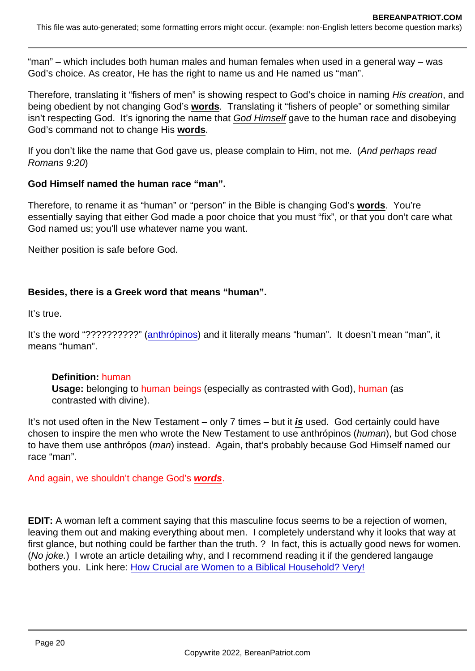"man" – which includes both human males and human females when used in a general way – was God's choice. As creator, He has the right to name us and He named us "man".

Therefore, translating it "fishers of men" is showing respect to God's choice in naming His creation, and being obedient by not changing God's words . Translating it "fishers of people" or something similar isn't respecting God. It's ignoring the name that God Himself gave to the human race and disobeying God's command not to change His words .

If you don't like the name that God gave us, please complain to Him, not me. (And perhaps read Romans 9:20)

God Himself named the human race "man".

Therefore, to rename it as "human" or "person" in the Bible is changing God's words . You're essentially saying that either God made a poor choice that you must "fix", or that you don't care what God named us; you'll use whatever name you want.

Neither position is safe before God.

Besides, there is a Greek word that means "human".

It's true.

It's the word "??????????" [\(anthrópinos\)](https://biblehub.com/greek/442.htm) and it literally means "human". It doesn't mean "man", it means "human".

Definition: human Usage: belonging to human beings (especially as contrasted with God), human (as contrasted with divine).

It's not used often in the New Testament – only 7 times – but it is used. God certainly could have chosen to inspire the men who wrote the New Testament to use anthrópinos (human), but God chose to have them use anthrópos (man) instead. Again, that's probably because God Himself named our race "man".

And again, we shouldn't change God's words .

EDIT: A woman left a comment saying that this masculine focus seems to be a rejection of women, leaving them out and making everything about men. I completely understand why it looks that way at first glance, but nothing could be farther than the truth. ? In fact, this is actually good news for women. (No joke.) I wrote an article detailing why, and I recommend reading it if the gendered langauge bothers you. Link here: [How Crucial are Women to a Biblical Household? Very!](https://www.bereanpatriot.com/how-crucial-are-women-to-a-biblical-household-very/)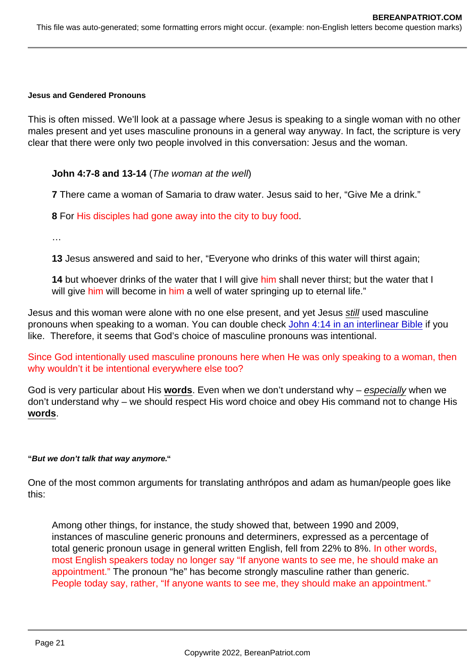Jesus and Gendered Pronouns

This is often missed. We'll look at a passage where Jesus is speaking to a single woman with no other males present and yet uses masculine pronouns in a general way anyway. In fact, the scripture is very clear that there were only two people involved in this conversation: Jesus and the woman.

John 4:7-8 and 13-14 (The woman at the well)

7 There came a woman of Samaria to draw water. Jesus said to her, "Give Me a drink."

8 For His disciples had gone away into the city to buy food.

…

13 Jesus answered and said to her, "Everyone who drinks of this water will thirst again;

14 but whoever drinks of the water that I will give him shall never thirst; but the water that I will give him will become in him a well of water springing up to eternal life."

Jesus and this woman were alone with no one else present, and yet Jesus still used masculine pronouns when speaking to a woman. You can double check [John 4:14 in an interlinear Bible](https://biblehub.com/interlinear/john/4-14.htm) if you like. Therefore, it seems that God's choice of masculine pronouns was intentional.

Since God intentionally used masculine pronouns here when He was only speaking to a woman, then why wouldn't it be intentional everywhere else too?

God is very particular about His words . Even when we don't understand why – especially when we don't understand why – we should respect His word choice and obey His command not to change His words .

"But we don't talk that way anymore. "

One of the most common arguments for translating anthrópos and adam as human/people goes like this:

Among other things, for instance, the study showed that, between 1990 and 2009, instances of masculine generic pronouns and determiners, expressed as a percentage of total generic pronoun usage in general written English, fell from 22% to 8%. In other words, most English speakers today no longer say "If anyone wants to see me, he should make an appointment." The pronoun "he" has become strongly masculine rather than generic. People today say, rather, "If anyone wants to see me, they should make an appointment."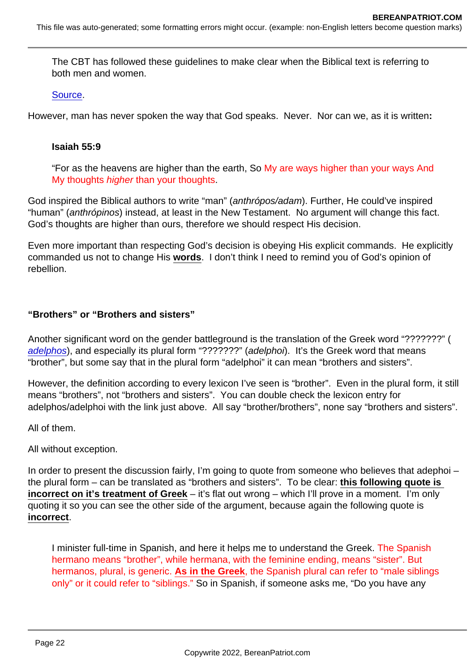The CBT has followed these guidelines to make clear when the Biblical text is referring to both men and women.

[Source](https://www.thenivbible.com/niv-gender-neutral/).

However, man has never spoken the way that God speaks. Never. Nor can we, as it is written:

Isaiah 55:9

"For as the heavens are higher than the earth, So My are ways higher than your ways And My thoughts higher than your thoughts.

God inspired the Biblical authors to write "man" (anthrópos/adam). Further, He could've inspired "human" (anthrópinos) instead, at least in the New Testament. No argument will change this fact. God's thoughts are higher than ours, therefore we should respect His decision.

Even more important than respecting God's decision is obeying His explicit commands. He explicitly commanded us not to change His words . I don't think I need to remind you of God's opinion of rebellion.

"Brothers" or "Brothers and sisters"

Another significant word on the gender battleground is the translation of the Greek word "???????" [\(](https://biblehub.com/greek/80.htm) adelphos), and especially its plural form "???????" (adelphoi). It's the Greek word that means "brother", but some say that in the plural form "adelphoi" it can mean "brothers and sisters".

However, the definition according to every lexicon I've seen is "brother". Even in the plural form, it still means "brothers", not "brothers and sisters". You can double check the lexicon entry for adelphos/adelphoi with the link just above. All say "brother/brothers", none say "brothers and sisters".

All of them.

All without exception.

In order to present the discussion fairly, I'm going to quote from someone who believes that adephoi – the plural form – can be translated as "brothers and sisters". To be clear: this following quote is incorrect on it's treatment of Greek – it's flat out wrong – which I'll prove in a moment. I'm only quoting it so you can see the other side of the argument, because again the following quote is incorrect .

I minister full-time in Spanish, and here it helps me to understand the Greek. The Spanish hermano means "brother", while hermana, with the feminine ending, means "sister". But hermanos, plural, is generic. As in the Greek , the Spanish plural can refer to "male siblings only" or it could refer to "siblings." So in Spanish, if someone asks me, "Do you have any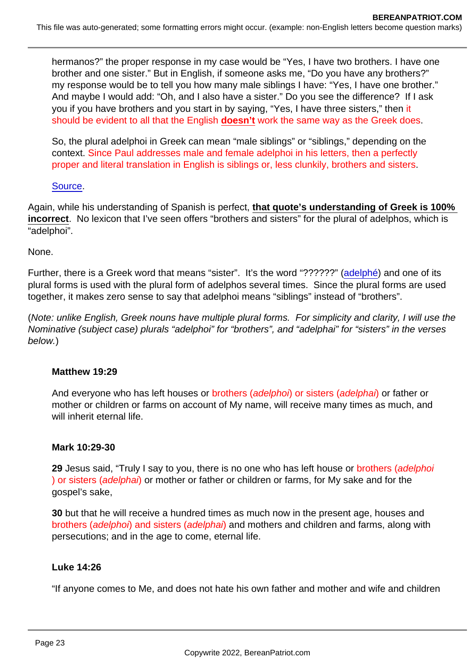hermanos?" the proper response in my case would be "Yes, I have two brothers. I have one brother and one sister." But in English, if someone asks me, "Do you have any brothers?" my response would be to tell you how many male siblings I have: "Yes, I have one brother." And maybe I would add: "Oh, and I also have a sister." Do you see the difference? If I ask you if you have brothers and you start in by saying, "Yes, I have three sisters," then it should be evident to all that the English doesn't work the same way as the Greek does.

So, the plural adelphoi in Greek can mean "male siblings" or "siblings," depending on the context. Since Paul addresses male and female adelphoi in his letters, then a perfectly proper and literal translation in English is siblings or, less clunkily, brothers and sisters.

### [Source](https://simplychurch.com/2014/07/14/guest-post-by-gary-shogren-brothers-brothers-and-sisters/).

Again, while his understanding of Spanish is perfect, that quote's understanding of Greek is 100% incorrect . No lexicon that I've seen offers "brothers and sisters" for the plural of adelphos, which is "adelphoi".

None.

Further, there is a Greek word that means "sister". It's the word "??????" [\(adelphé\)](https://biblehub.com/greek/79.htm) and one of its plural forms is used with the plural form of adelphos several times. Since the plural forms are used together, it makes zero sense to say that adelphoi means "siblings" instead of "brothers".

(Note: unlike English, Greek nouns have multiple plural forms. For simplicity and clarity, I will use the Nominative (subject case) plurals "adelphoi" for "brothers", and "adelphai" for "sisters" in the verses below.)

Matthew 19:29

And everyone who has left houses or brothers (adelphoi) or sisters (adelphai) or father or mother or children or farms on account of My name, will receive many times as much, and will inherit eternal life.

Mark 10:29-30

29 Jesus said, "Truly I say to you, there is no one who has left house or brothers (adelphoi ) or sisters (adelphai) or mother or father or children or farms, for My sake and for the gospel's sake,

30 but that he will receive a hundred times as much now in the present age, houses and brothers (adelphoi) and sisters (adelphai) and mothers and children and farms, along with persecutions; and in the age to come, eternal life.

Luke 14:26

"If anyone comes to Me, and does not hate his own father and mother and wife and children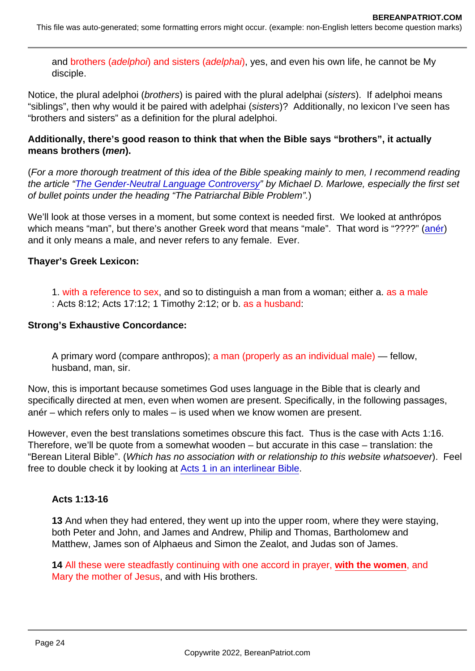and brothers (adelphoi) and sisters (adelphai), yes, and even his own life, he cannot be My disciple.

Notice, the plural adelphoi (brothers) is paired with the plural adelphai (sisters). If adelphoi means "siblings", then why would it be paired with adelphai (sisters)? Additionally, no lexicon I've seen has "brothers and sisters" as a definition for the plural adelphoi.

Additionally, there's good reason to think that when the Bible says "brothers", it actually means brothers ( men).

(For a more thorough treatment of this idea of the Bible speaking mainly to men, I recommend reading the article ["The Gender-Neutral Language Controversy"](http://www.bible-researcher.com/inclusive.html) by Michael D. Marlowe, especially the first set of bullet points under the heading "The Patriarchal Bible Problem".)

We'll look at those verses in a moment, but some context is needed first. We looked at anthrópos which means "man", but there's another Greek word that means "male". That word is "????" ([anér\)](https://biblehub.com/greek/435.htm) and it only means a male, and never refers to any female. Ever.

Thayer's Greek Lexicon:

1. with a reference to sex, and so to distinguish a man from a woman; either a. as a male : Acts 8:12; Acts 17:12; 1 Timothy 2:12; or b. as a husband:

Strong's Exhaustive Concordance:

A primary word (compare anthropos); a man (properly as an individual male) — fellow, husband, man, sir.

Now, this is important because sometimes God uses language in the Bible that is clearly and specifically directed at men, even when women are present. Specifically, in the following passages, anér – which refers only to males – is used when we know women are present.

However, even the best translations sometimes obscure this fact. Thus is the case with Acts 1:16. Therefore, we'll be quote from a somewhat wooden – but accurate in this case – translation: the "Berean Literal Bible". (Which has no association with or relationship to this website whatsoever). Feel free to double check it by looking at [Acts 1 in an interlinear Bible](https://biblehub.com/interlinear/acts/1.htm).

Acts 1:13-16

13 And when they had entered, they went up into the upper room, where they were staying, both Peter and John, and James and Andrew, Philip and Thomas, Bartholomew and Matthew, James son of Alphaeus and Simon the Zealot, and Judas son of James.

14 All these were steadfastly continuing with one accord in prayer, with the women , and Mary the mother of Jesus, and with His brothers.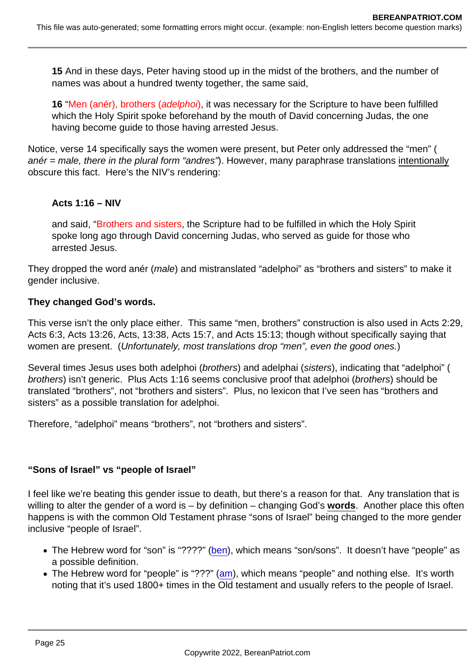15 And in these days, Peter having stood up in the midst of the brothers, and the number of names was about a hundred twenty together, the same said,

16 "Men (anér), brothers (adelphoi), it was necessary for the Scripture to have been fulfilled which the Holy Spirit spoke beforehand by the mouth of David concerning Judas, the one having become guide to those having arrested Jesus.

Notice, verse 14 specifically says the women were present, but Peter only addressed the "men" ( anér = male, there in the plural form "andres"). However, many paraphrase translations intentionally obscure this fact. Here's the NIV's rendering:

Acts 1:16 – NIV

and said, "Brothers and sisters, the Scripture had to be fulfilled in which the Holy Spirit spoke long ago through David concerning Judas, who served as guide for those who arrested Jesus.

They dropped the word anér (male) and mistranslated "adelphoi" as "brothers and sisters" to make it gender inclusive.

They changed God's words.

This verse isn't the only place either. This same "men, brothers" construction is also used in Acts 2:29, Acts 6:3, Acts 13:26, Acts, 13:38, Acts 15:7, and Acts 15:13; though without specifically saying that women are present. (Unfortunately, most translations drop "men", even the good ones.)

Several times Jesus uses both adelphoi (brothers) and adelphai (sisters), indicating that "adelphoi" ( brothers) isn't generic. Plus Acts 1:16 seems conclusive proof that adelphoi (brothers) should be translated "brothers", not "brothers and sisters". Plus, no lexicon that I've seen has "brothers and sisters" as a possible translation for adelphoi.

Therefore, "adelphoi" means "brothers", not "brothers and sisters".

"Sons of Israel" vs "people of Israel"

I feel like we're beating this gender issue to death, but there's a reason for that. Any translation that is willing to alter the gender of a word is – by definition – changing God's words. Another place this often happens is with the common Old Testament phrase "sons of Israel" being changed to the more gender inclusive "people of Israel".

- The Hebrew word for "son" is "????" [\(ben](https://biblehub.com/hebrew/1121.htm)), which means "son/sons". It doesn't have "people" as a possible definition.
- The Hebrew word for "people" is "???" [\(am\)](https://biblehub.com/hebrew/5971.htm), which means "people" and nothing else. It's worth noting that it's used 1800+ times in the Old testament and usually refers to the people of Israel.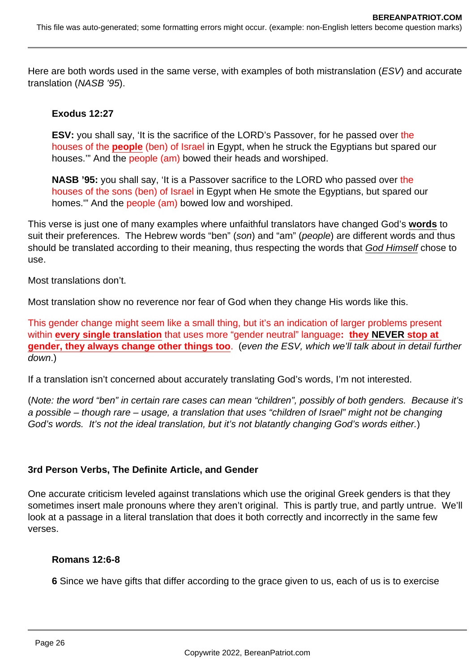Here are both words used in the same verse, with examples of both mistranslation (ESV) and accurate translation (NASB '95).

### **Exodus 12:27**

**ESV:** you shall say, 'It is the sacrifice of the LORD's Passover, for he passed over the houses of the **people** (ben) of Israel in Egypt, when he struck the Egyptians but spared our houses.'" And the people (am) bowed their heads and worshiped.

**NASB '95:** you shall say, 'It is a Passover sacrifice to the LORD who passed over the houses of the sons (ben) of Israel in Egypt when He smote the Egyptians, but spared our homes.'" And the people (am) bowed low and worshiped.

This verse is just one of many examples where unfaithful translators have changed God's **words** to suit their preferences. The Hebrew words "ben" (son) and "am" (people) are different words and thus should be translated according to their meaning, thus respecting the words that God Himself chose to use.

Most translations don't.

Most translation show no reverence nor fear of God when they change His words like this.

This gender change might seem like a small thing, but it's an indication of larger problems present within **every single translation** that uses more "gender neutral" language**: they NEVER stop at gender, they always change other things too**. (even the ESV, which we'll talk about in detail further down.)

If a translation isn't concerned about accurately translating God's words, I'm not interested.

(Note: the word "ben" in certain rare cases can mean "children", possibly of both genders. Because it's a possible – though rare – usage, a translation that uses "children of Israel" might not be changing God's words. It's not the ideal translation, but it's not blatantly changing God's words either.)

### **3rd Person Verbs, The Definite Article, and Gender**

One accurate criticism leveled against translations which use the original Greek genders is that they sometimes insert male pronouns where they aren't original. This is partly true, and partly untrue. We'll look at a passage in a literal translation that does it both correctly and incorrectly in the same few verses.

#### **Romans 12:6-8**

**6** Since we have gifts that differ according to the grace given to us, each of us is to exercise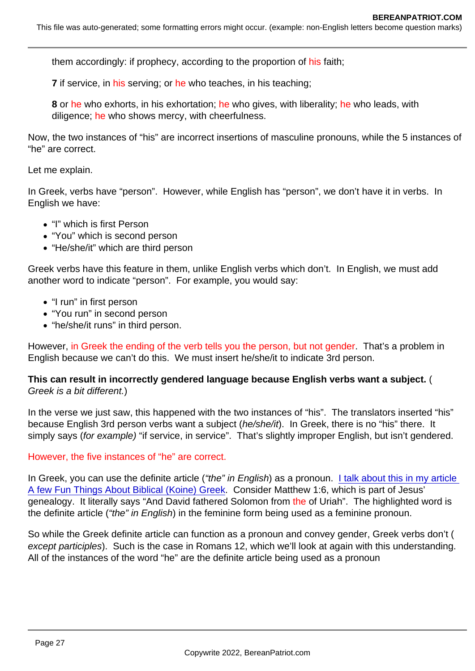them accordingly: if prophecy, according to the proportion of his faith;

7 if service, in his serving; or he who teaches, in his teaching;

8 or he who exhorts, in his exhortation; he who gives, with liberality; he who leads, with diligence; he who shows mercy, with cheerfulness.

Now, the two instances of "his" are incorrect insertions of masculine pronouns, while the 5 instances of "he" are correct.

Let me explain.

In Greek, verbs have "person". However, while English has "person", we don't have it in verbs. In English we have:

- "I" which is first Person
- "You" which is second person
- "He/she/it" which are third person

Greek verbs have this feature in them, unlike English verbs which don't. In English, we must add another word to indicate "person". For example, you would say:

- "I run" in first person
- "You run" in second person
- "he/she/it runs" in third person.

However, in Greek the ending of the verb tells you the person, but not gender. That's a problem in English because we can't do this. We must insert he/she/it to indicate 3rd person.

This can result in incorrectly gendered language because English verbs want a subject. Greek is a bit different.)

In the verse we just saw, this happened with the two instances of "his". The translators inserted "his" because English 3rd person verbs want a subject (he/she/it). In Greek, there is no "his" there. It simply says (for example) "if service, in service". That's slightly improper English, but isn't gendered.

### However, the five instances of "he" are correct.

In Greek, you can use the definite article ("the" in English) as a pronoun. I talk about this in my article [A few Fun Things About Biblical \(Koine\) Greek](https://www.bereanpatriot.com/a-few-fun-things-about-biblical-koine-greek/). Consider Matthew 1:6, which is part of Jesus' genealogy. It literally says "And David fathered Solomon from the of Uriah". The highlighted word is the definite article ("the" in English) in the feminine form being used as a feminine pronoun.

So while the Greek definite article can function as a pronoun and convey gender, Greek verbs don't ( except participles). Such is the case in Romans 12, which we'll look at again with this understanding. All of the instances of the word "he" are the definite article being used as a pronoun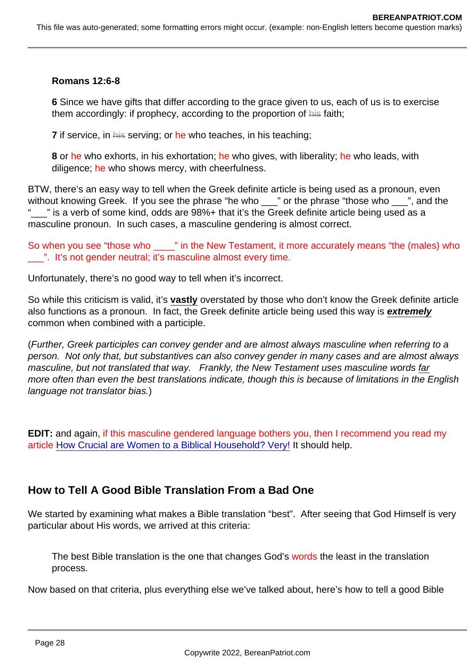Romans 12:6-8

6 Since we have gifts that differ according to the grace given to us, each of us is to exercise them accordingly: if prophecy, according to the proportion of his faith;

7 if service, in his serving; or he who teaches, in his teaching;

8 or he who exhorts, in his exhortation; he who gives, with liberality; he who leads, with diligence; he who shows mercy, with cheerfulness.

BTW, there's an easy way to tell when the Greek definite article is being used as a pronoun, even without knowing Greek. If you see the phrase "he who \_\_\_" or the phrase "those who \_\_\_", and the  $\mathbb{Z}$ " is a verb of some kind, odds are 98%+ that it's the Greek definite article being used as a masculine pronoun. In such cases, a masculine gendering is almost correct.

So when you see "those who \_\_\_\_" in the New Testament, it more accurately means "the (males) who \_\_\_". It's not gender neutral; it's masculine almost every time.

Unfortunately, there's no good way to tell when it's incorrect.

So while this criticism is valid, it's vastly overstated by those who don't know the Greek definite article also functions as a pronoun. In fact, the Greek definite article being used this way is extremely common when combined with a participle.

(Further, Greek participles can convey gender and are almost always masculine when referring to a person. Not only that, but substantives can also convey gender in many cases and are almost always masculine, but not translated that way. Frankly, the New Testament uses masculine words far more often than even the best translations indicate, though this is because of limitations in the English language not translator bias.)

EDIT: and again, if this masculine gendered language bothers you, then I recommend you read my article [How Crucial are Women to a Biblical Household? Very!](https://www.bereanpatriot.com/how-crucial-are-women-to-a-biblical-household-very/) It should help.

## How to Tell A Good Bible Translation From a Bad One

We started by examining what makes a Bible translation "best". After seeing that God Himself is very particular about His words, we arrived at this criteria:

The best Bible translation is the one that changes God's words the least in the translation process.

Now based on that criteria, plus everything else we've talked about, here's how to tell a good Bible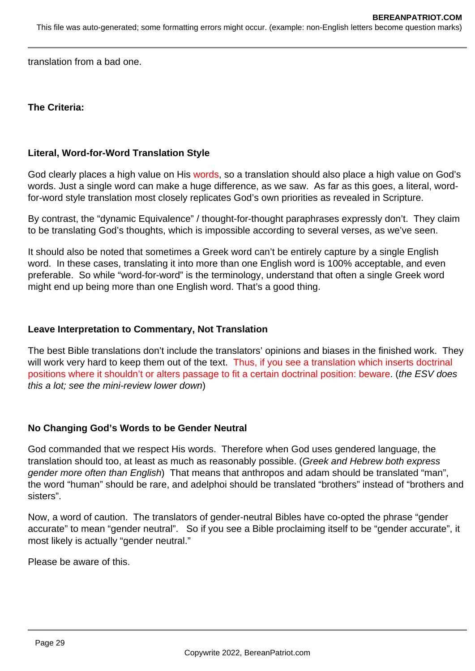translation from a bad one.

**The Criteria:**

### **Literal, Word-for-Word Translation Style**

God clearly places a high value on His words, so a translation should also place a high value on God's words. Just a single word can make a huge difference, as we saw. As far as this goes, a literal, wordfor-word style translation most closely replicates God's own priorities as revealed in Scripture.

By contrast, the "dynamic Equivalence" / thought-for-thought paraphrases expressly don't. They claim to be translating God's thoughts, which is impossible according to several verses, as we've seen.

It should also be noted that sometimes a Greek word can't be entirely capture by a single English word. In these cases, translating it into more than one English word is 100% acceptable, and even preferable. So while "word-for-word" is the terminology, understand that often a single Greek word might end up being more than one English word. That's a good thing.

#### **Leave Interpretation to Commentary, Not Translation**

The best Bible translations don't include the translators' opinions and biases in the finished work. They will work very hard to keep them out of the text. Thus, if you see a translation which inserts doctrinal positions where it shouldn't or alters passage to fit a certain doctrinal position: beware. (the ESV does this a lot; see the mini-review lower down)

#### **No Changing God's Words to be Gender Neutral**

God commanded that we respect His words. Therefore when God uses gendered language, the translation should too, at least as much as reasonably possible. (Greek and Hebrew both express gender more often than English) That means that anthropos and adam should be translated "man", the word "human" should be rare, and adelphoi should be translated "brothers" instead of "brothers and sisters".

Now, a word of caution. The translators of gender-neutral Bibles have co-opted the phrase "gender accurate" to mean "gender neutral". So if you see a Bible proclaiming itself to be "gender accurate", it most likely is actually "gender neutral."

Please be aware of this.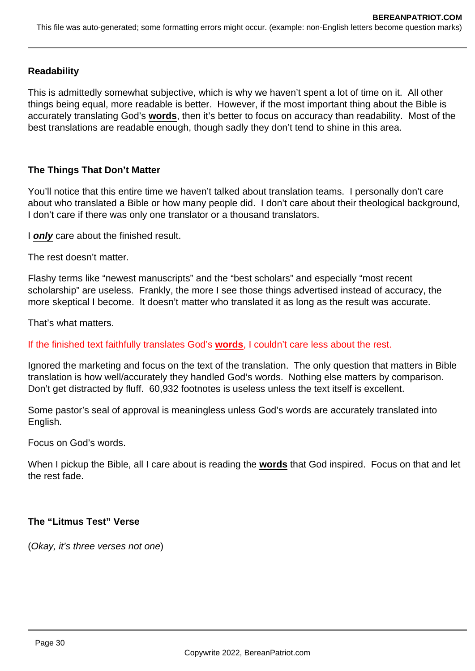### **Readability**

This is admittedly somewhat subjective, which is why we haven't spent a lot of time on it. All other things being equal, more readable is better. However, if the most important thing about the Bible is accurately translating God's **words**, then it's better to focus on accuracy than readability. Most of the best translations are readable enough, though sadly they don't tend to shine in this area.

### **The Things That Don't Matter**

You'll notice that this entire time we haven't talked about translation teams. I personally don't care about who translated a Bible or how many people did. I don't care about their theological background, I don't care if there was only one translator or a thousand translators.

I **only** care about the finished result.

The rest doesn't matter.

Flashy terms like "newest manuscripts" and the "best scholars" and especially "most recent scholarship" are useless. Frankly, the more I see those things advertised instead of accuracy, the more skeptical I become. It doesn't matter who translated it as long as the result was accurate.

That's what matters.

If the finished text faithfully translates God's **words**, I couldn't care less about the rest.

Ignored the marketing and focus on the text of the translation. The only question that matters in Bible translation is how well/accurately they handled God's words. Nothing else matters by comparison. Don't get distracted by fluff. 60,932 footnotes is useless unless the text itself is excellent.

Some pastor's seal of approval is meaningless unless God's words are accurately translated into English.

Focus on God's words.

When I pickup the Bible, all I care about is reading the **words** that God inspired. Focus on that and let the rest fade.

#### **The "Litmus Test" Verse**

(Okay, it's three verses not one)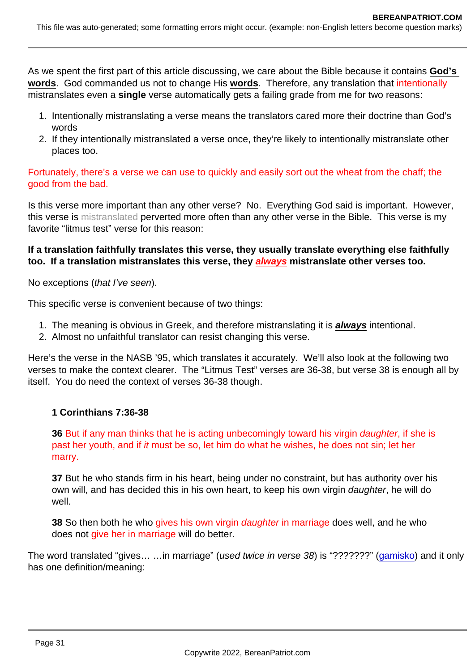As we spent the first part of this article discussing, we care about the Bible because it contains God's words . God commanded us not to change His words . Therefore, any translation that intentionally mistranslates even a single verse automatically gets a failing grade from me for two reasons:

- 1. Intentionally mistranslating a verse means the translators cared more their doctrine than God's words
- 2. If they intentionally mistranslated a verse once, they're likely to intentionally mistranslate other places too.

Fortunately, there's a verse we can use to quickly and easily sort out the wheat from the chaff; the good from the bad.

Is this verse more important than any other verse? No. Everything God said is important. However, this verse is mistranslated perverted more often than any other verse in the Bible. This verse is my favorite "litmus test" verse for this reason:

If a translation faithfully translates this verse, they usually translate everything else faithfully too. If a translation mistranslates this verse, they always mistranslate other verses too.

No exceptions (that I've seen).

This specific verse is convenient because of two things:

- 1. The meaning is obvious in Greek, and therefore mistranslating it is always intentional.
- 2. Almost no unfaithful translator can resist changing this verse.

Here's the verse in the NASB '95, which translates it accurately. We'll also look at the following two verses to make the context clearer. The "Litmus Test" verses are 36-38, but verse 38 is enough all by itself. You do need the context of verses 36-38 though.

1 Corinthians 7:36-38

36 But if any man thinks that he is acting unbecomingly toward his virgin daughter, if she is past her youth, and if it must be so, let him do what he wishes, he does not sin; let her marry.

37 But he who stands firm in his heart, being under no constraint, but has authority over his own will, and has decided this in his own heart, to keep his own virgin daughter, he will do well.

38 So then both he who gives his own virgin daughter in marriage does well, and he who does not give her in marriage will do better.

The word translated "gives... ... in marriage" (used twice in verse 38) is "???????" [\(gamisko\)](https://biblehub.com/greek/1061.htm) and it only has one definition/meaning: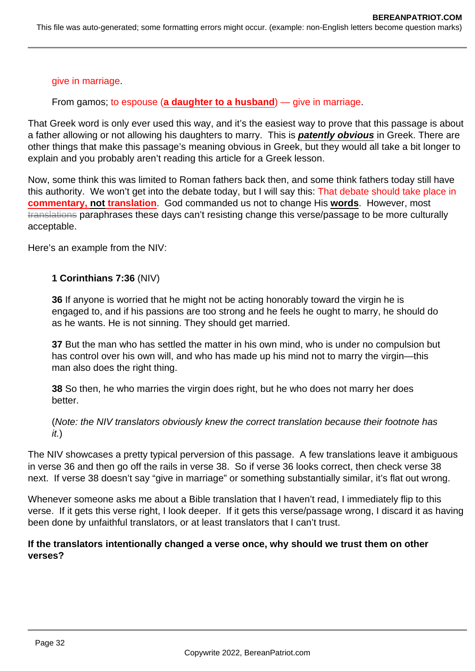#### give in marriage.

From gamos; to espouse (**a daughter to a husband**) — give in marriage.

That Greek word is only ever used this way, and it's the easiest way to prove that this passage is about a father allowing or not allowing his daughters to marry. This is **patently obvious** in Greek. There are other things that make this passage's meaning obvious in Greek, but they would all take a bit longer to explain and you probably aren't reading this article for a Greek lesson.

Now, some think this was limited to Roman fathers back then, and some think fathers today still have this authority. We won't get into the debate today, but I will say this: That debate should take place in **commentary, not translation**. God commanded us not to change His **words**. However, most translations paraphrases these days can't resisting change this verse/passage to be more culturally acceptable.

Here's an example from the NIV:

### **1 Corinthians 7:36** (NIV)

**36** If anyone is worried that he might not be acting honorably toward the virgin he is engaged to, and if his passions are too strong and he feels he ought to marry, he should do as he wants. He is not sinning. They should get married.

**37** But the man who has settled the matter in his own mind, who is under no compulsion but has control over his own will, and who has made up his mind not to marry the virgin—this man also does the right thing.

**38** So then, he who marries the virgin does right, but he who does not marry her does better.

(Note: the NIV translators obviously knew the correct translation because their footnote has it.)

The NIV showcases a pretty typical perversion of this passage. A few translations leave it ambiguous in verse 36 and then go off the rails in verse 38. So if verse 36 looks correct, then check verse 38 next. If verse 38 doesn't say "give in marriage" or something substantially similar, it's flat out wrong.

Whenever someone asks me about a Bible translation that I haven't read, I immediately flip to this verse. If it gets this verse right, I look deeper. If it gets this verse/passage wrong, I discard it as having been done by unfaithful translators, or at least translators that I can't trust.

### **If the translators intentionally changed a verse once, why should we trust them on other verses?**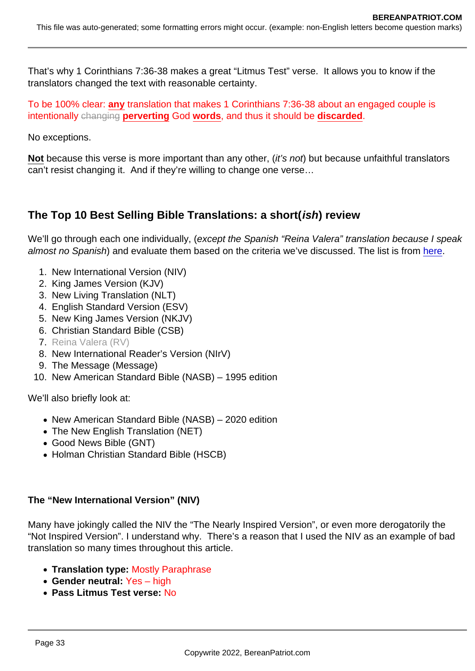That's why 1 Corinthians 7:36-38 makes a great "Litmus Test" verse. It allows you to know if the translators changed the text with reasonable certainty.

To be 100% clear: any translation that makes 1 Corinthians 7:36-38 about an engaged couple is intentionally changing perverting God words, and thus it should be discarded.

No exceptions.

Not because this verse is more important than any other, (it's not) but because unfaithful translators can't resist changing it. And if they're willing to change one verse…

The Top 10 Best Selling Bible Translations: a short( ish) review

We'll go through each one individually, (except the Spanish "Reina Valera" translation because I speak almost no Spanish) and evaluate them based on the criteria we've discussed. The list is from [here.](https://churchanswers.com/blog/the-top-ten-best-selling-bibles-compared-to-ten-years-ago/)

- 1. New International Version (NIV)
- 2. King James Version (KJV)
- 3. New Living Translation (NLT)
- 4. English Standard Version (ESV)
- 5. New King James Version (NKJV)
- 6. Christian Standard Bible (CSB)
- 7. Reina Valera (RV)
- 8. New International Reader's Version (NIrV)
- 9. The Message (Message)
- 10. New American Standard Bible (NASB) 1995 edition

We'll also briefly look at:

- New American Standard Bible (NASB) 2020 edition
- The New English Translation (NET)
- Good News Bible (GNT)
- Holman Christian Standard Bible (HSCB)

The "New International Version" (NIV)

Many have jokingly called the NIV the "The Nearly Inspired Version", or even more derogatorily the "Not Inspired Version". I understand why. There's a reason that I used the NIV as an example of bad translation so many times throughout this article.

- Translation type: Mostly Paraphrase
- Gender neutral: Yes high
- Pass Litmus Test verse: No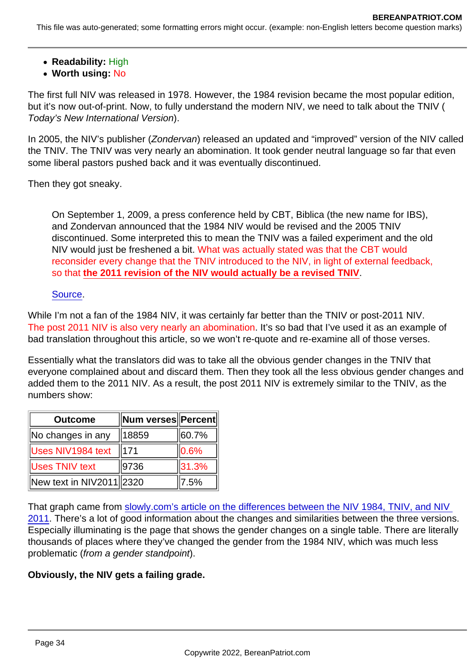- Readability: High
- Worth using: No

The first full NIV was released in 1978. However, the 1984 revision became the most popular edition, but it's now out-of-print. Now, to fully understand the modern NIV, we need to talk about the TNIV ( Today's New International Version).

In 2005, the NIV's publisher (Zondervan) released an updated and "improved" version of the NIV called the TNIV. The TNIV was very nearly an abomination. It took gender neutral language so far that even some liberal pastors pushed back and it was eventually discontinued.

Then they got sneaky.

On September 1, 2009, a press conference held by CBT, Biblica (the new name for IBS), and Zondervan announced that the 1984 NIV would be revised and the 2005 TNIV discontinued. Some interpreted this to mean the TNIV was a failed experiment and the old NIV would just be freshened a bit. What was actually stated was that the CBT would reconsider every change that the TNIV introduced to the NIV, in light of external feedback, so that the 2011 revision of the NIV would actually be a revised TNIV

### [Source](https://www.patheos.com/blogs/jesuscreed/2011/01/14/tniv-to-niv-2011-john-kohlenberger/).

While I'm not a fan of the 1984 NIV, it was certainly far better than the TNIV or post-2011 NIV. The post 2011 NIV is also very nearly an abomination. It's so bad that I've used it as an example of bad translation throughout this article, so we won't re-quote and re-examine all of those verses.

Essentially what the translators did was to take all the obvious gender changes in the TNIV that everyone complained about and discard them. Then they took all the less obvious gender changes and added them to the 2011 NIV. As a result, the post 2011 NIV is extremely similar to the TNIV, as the numbers show:

| Outcome                  | Num verses   Percent |            |
|--------------------------|----------------------|------------|
| No changes in any        | 18859                | 160.7%     |
| <b>Uses NIV1984 text</b> | 171                  | $ 0.6\%$   |
| <b>Uses TNIV text</b>    | 9736                 | $\ 31.3\%$ |
| New text in NIV2011 2320 |                      | 7.5%       |

That graph came from [slowly.com's article on the differences between the NIV 1984, TNIV, and NIV](http://www.slowley.com/niv2011_comparison/cbmw_words.html)  [2011.](http://www.slowley.com/niv2011_comparison/cbmw_words.html) There's a lot of good information about the changes and similarities between the three versions. Especially illuminating is the page that shows the gender changes on a single table. There are literally thousands of places where they've changed the gender from the 1984 NIV, which was much less problematic (from a gender standpoint).

Obviously, the NIV gets a failing grade.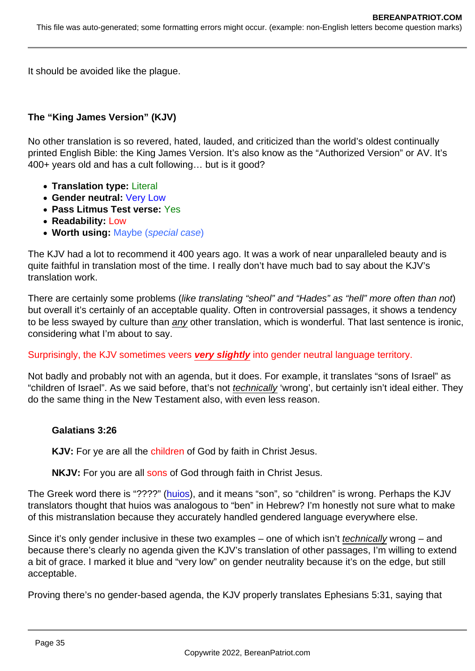It should be avoided like the plague.

The "King James Version" (KJV)

No other translation is so revered, hated, lauded, and criticized than the world's oldest continually printed English Bible: the King James Version. It's also know as the "Authorized Version" or AV. It's 400+ years old and has a cult following… but is it good?

- Translation type: Literal
- Gender neutral: Very Low
- Pass Litmus Test verse: Yes
- Readability: Low
- Worth using: Maybe (special case)

The KJV had a lot to recommend it 400 years ago. It was a work of near unparalleled beauty and is quite faithful in translation most of the time. I really don't have much bad to say about the KJV's translation work.

There are certainly some problems (like translating "sheol" and "Hades" as "hell" more often than not) but overall it's certainly of an acceptable quality. Often in controversial passages, it shows a tendency to be less swayed by culture than any other translation, which is wonderful. That last sentence is ironic, considering what I'm about to say.

Surprisingly, the KJV sometimes veers very slightly into gender neutral language territory.

Not badly and probably not with an agenda, but it does. For example, it translates "sons of Israel" as "children of Israel". As we said before, that's not technically 'wrong', but certainly isn't ideal either. They do the same thing in the New Testament also, with even less reason.

Galatians 3:26

KJV: For ye are all the children of God by faith in Christ Jesus.

NKJV: For you are all sons of God through faith in Christ Jesus.

The Greek word there is "????" [\(huios\)](https://biblehub.com/greek/5207.htm), and it means "son", so "children" is wrong. Perhaps the KJV translators thought that huios was analogous to "ben" in Hebrew? I'm honestly not sure what to make of this mistranslation because they accurately handled gendered language everywhere else.

Since it's only gender inclusive in these two examples – one of which isn't technically wrong – and because there's clearly no agenda given the KJV's translation of other passages, I'm willing to extend a bit of grace. I marked it blue and "very low" on gender neutrality because it's on the edge, but still acceptable.

Proving there's no gender-based agenda, the KJV properly translates Ephesians 5:31, saying that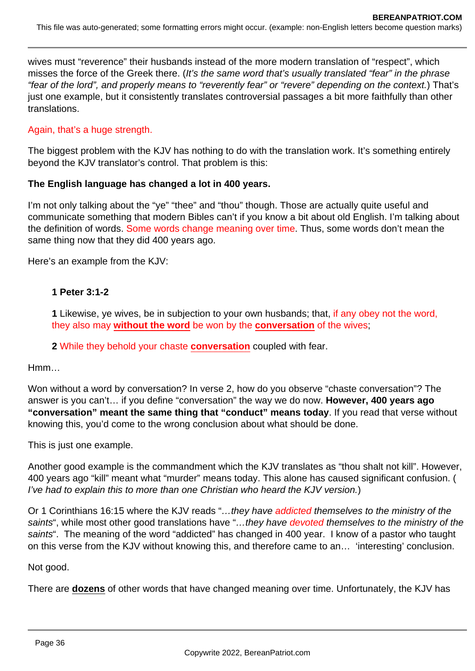wives must "reverence" their husbands instead of the more modern translation of "respect", which misses the force of the Greek there. (It's the same word that's usually translated "fear" in the phrase "fear of the lord", and properly means to "reverently fear" or "revere" depending on the context.) That's just one example, but it consistently translates controversial passages a bit more faithfully than other translations.

### Again, that's a huge strength.

The biggest problem with the KJV has nothing to do with the translation work. It's something entirely beyond the KJV translator's control. That problem is this:

### **The English language has changed a lot in 400 years.**

I'm not only talking about the "ye" "thee" and "thou" though. Those are actually quite useful and communicate something that modern Bibles can't if you know a bit about old English. I'm talking about the definition of words. Some words change meaning over time. Thus, some words don't mean the same thing now that they did 400 years ago.

Here's an example from the KJV:

### **1 Peter 3:1-2**

**1** Likewise, ye wives, be in subjection to your own husbands; that, if any obey not the word, they also may **without the word** be won by the **conversation** of the wives;

#### **2** While they behold your chaste **conversation** coupled with fear.

Hmm…

Won without a word by conversation? In verse 2, how do you observe "chaste conversation"? The answer is you can't… if you define "conversation" the way we do now. **However, 400 years ago "conversation" meant the same thing that "conduct" means today**. If you read that verse without knowing this, you'd come to the wrong conclusion about what should be done.

This is just one example.

Another good example is the commandment which the KJV translates as "thou shalt not kill". However, 400 years ago "kill" meant what "murder" means today. This alone has caused significant confusion. ( I've had to explain this to more than one Christian who heard the KJV version.)

Or 1 Corinthians 16:15 where the KJV reads "...they have addicted themselves to the ministry of the saints", while most other good translations have "...they have devoted themselves to the ministry of the saints". The meaning of the word "addicted" has changed in 400 year. I know of a pastor who taught on this verse from the KJV without knowing this, and therefore came to an… 'interesting' conclusion.

Not good.

There are **dozens** of other words that have changed meaning over time. Unfortunately, the KJV has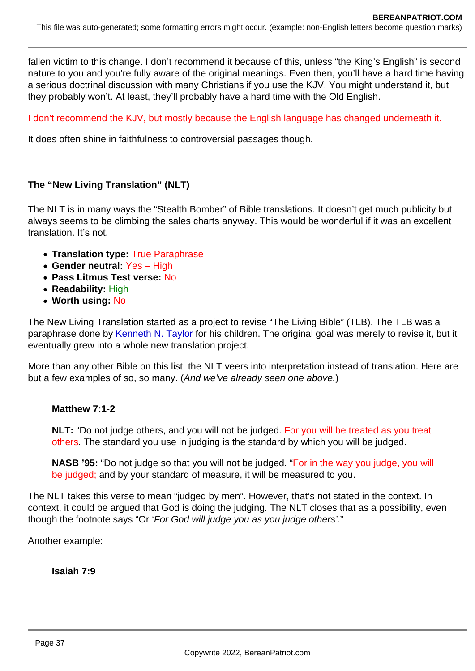fallen victim to this change. I don't recommend it because of this, unless "the King's English" is second nature to you and you're fully aware of the original meanings. Even then, you'll have a hard time having a serious doctrinal discussion with many Christians if you use the KJV. You might understand it, but they probably won't. At least, they'll probably have a hard time with the Old English.

## I don't recommend the KJV, but mostly because the English language has changed underneath it.

It does often shine in faithfulness to controversial passages though.

The "New Living Translation" (NLT)

The NLT is in many ways the "Stealth Bomber" of Bible translations. It doesn't get much publicity but always seems to be climbing the sales charts anyway. This would be wonderful if it was an excellent translation. It's not.

- Translation type: True Paraphrase
- Gender neutral: Yes High
- Pass Litmus Test verse: No
- Readability: High
- Worth using: No

The New Living Translation started as a project to revise "The Living Bible" (TLB). The TLB was a paraphrase done by [Kenneth N. Taylor](https://en.wikipedia.org/wiki/Kenneth_N._Taylor) for his children. The original goal was merely to revise it, but it eventually grew into a whole new translation project.

More than any other Bible on this list, the NLT veers into interpretation instead of translation. Here are but a few examples of so, so many. (And we've already seen one above.)

Matthew 7:1-2

NLT: "Do not judge others, and you will not be judged. For you will be treated as you treat others. The standard you use in judging is the standard by which you will be judged.

NASB '95: "Do not judge so that you will not be judged. "For in the way you judge, you will be judged; and by your standard of measure, it will be measured to you.

The NLT takes this verse to mean "judged by men". However, that's not stated in the context. In context, it could be argued that God is doing the judging. The NLT closes that as a possibility, even though the footnote says "Or 'For God will judge you as you judge others'."

Another example:

Isaiah 7:9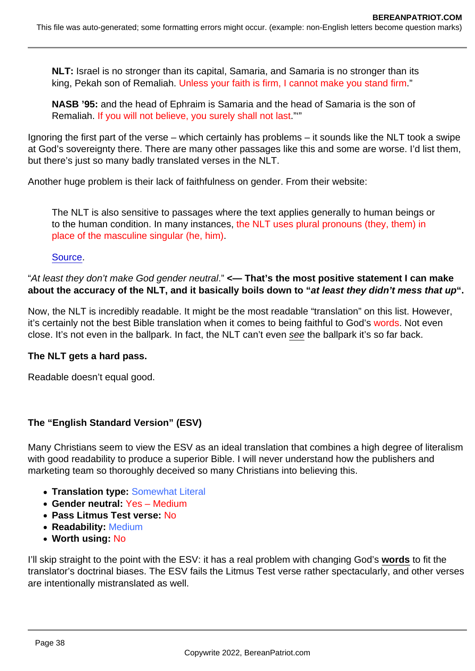NLT: Israel is no stronger than its capital, Samaria, and Samaria is no stronger than its king, Pekah son of Remaliah. Unless your faith is firm, I cannot make you stand firm."

NASB '95: and the head of Ephraim is Samaria and the head of Samaria is the son of Remaliah. If you will not believe, you surely shall not last."<sup>"</sup>

Ignoring the first part of the verse – which certainly has problems – it sounds like the NLT took a swipe at God's sovereignty there. There are many other passages like this and some are worse. I'd list them, but there's just so many badly translated verses in the NLT.

Another huge problem is their lack of faithfulness on gender. From their website:

The NLT is also sensitive to passages where the text applies generally to human beings or to the human condition. In many instances, the NLT uses plural pronouns (they, them) in place of the masculine singular (he, him).

[Source](https://www.tyndale.com/nlt/faq).

"At least they don't make God gender neutral." <— That's the most positive statement I can make about the accuracy of the NLT, and it basically boils down to "... at least they didn't mess that up

Now, the NLT is incredibly readable. It might be the most readable "translation" on this list. However, it's certainly not the best Bible translation when it comes to being faithful to God's words. Not even close. It's not even in the ballpark. In fact, the NLT can't even see the ballpark it's so far back.

The NLT gets a hard pass.

Readable doesn't equal good.

The "English Standard Version" (ESV)

Many Christians seem to view the ESV as an ideal translation that combines a high degree of literalism with good readability to produce a superior Bible. I will never understand how the publishers and marketing team so thoroughly deceived so many Christians into believing this.

- Translation type: Somewhat Literal
- Gender neutral: Yes Medium
- Pass Litmus Test verse: No
- Readability: Medium
- Worth using: No

I'll skip straight to the point with the ESV: it has a real problem with changing God's words to fit the translator's doctrinal biases. The ESV fails the Litmus Test verse rather spectacularly, and other verses are intentionally mistranslated as well.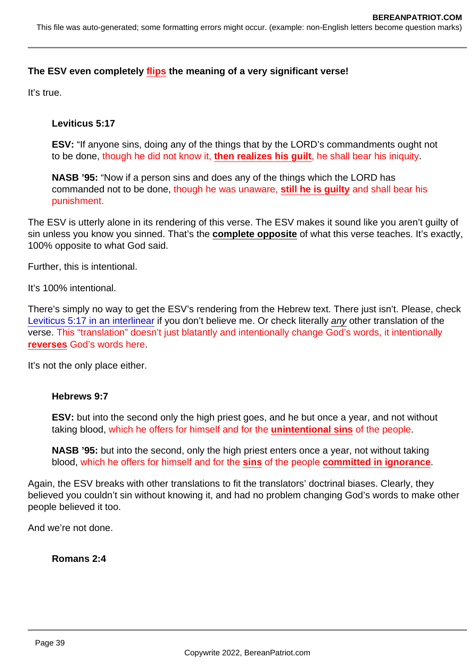The ESV even completely flips the meaning of a very significant verse!

It's true.

Leviticus 5:17

ESV: "If anyone sins, doing any of the things that by the LORD's commandments ought not to be done, though he did not know it, then realizes his guilt , he shall bear his iniquity.

NASB '95: "Now if a person sins and does any of the things which the LORD has commanded not to be done, though he was unaware, still he is quilty and shall bear his punishment.

The ESV is utterly alone in its rendering of this verse. The ESV makes it sound like you aren't guilty of sin unless you know you sinned. That's the complete opposite of what this verse teaches. It's exactly, 100% opposite to what God said.

Further, this is intentional.

It's 100% intentional.

There's simply no way to get the ESV's rendering from the Hebrew text. There just isn't. Please, check [Leviticus 5:17 in an interlinear](https://biblehub.com/interlinear/leviticus/5-17.htm) if you don't believe me. Or check literally any other translation of the verse. This "translation" doesn't just blatantly and intentionally change God's words, it intentionally reverses God's words here.

It's not the only place either.

Hebrews 9:7

ESV: but into the second only the high priest goes, and he but once a year, and not without taking blood, which he offers for himself and for the unintentional sins of the people.

NASB '95: but into the second, only the high priest enters once a year, not without taking blood, which he offers for himself and for the sins of the people committed in ignorance .

Again, the ESV breaks with other translations to fit the translators' doctrinal biases. Clearly, they believed you couldn't sin without knowing it, and had no problem changing God's words to make other people believed it too.

And we're not done.

Romans 2:4

Page 39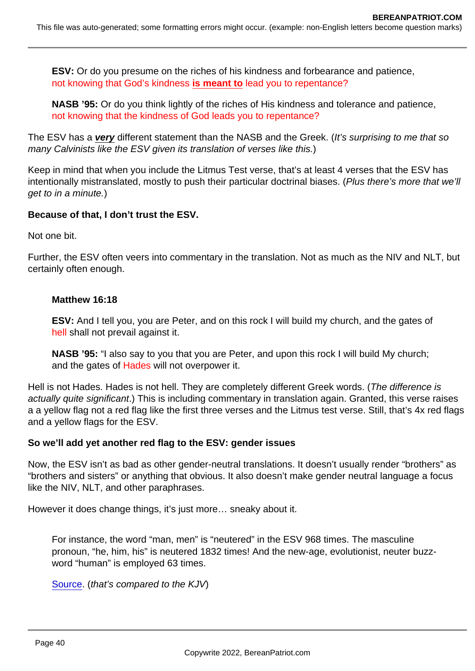ESV: Or do you presume on the riches of his kindness and forbearance and patience, not knowing that God's kindness is meant to lead you to repentance?

NASB '95: Or do you think lightly of the riches of His kindness and tolerance and patience, not knowing that the kindness of God leads you to repentance?

The ESV has a very different statement than the NASB and the Greek. (It's surprising to me that so many Calvinists like the ESV given its translation of verses like this.)

Keep in mind that when you include the Litmus Test verse, that's at least 4 verses that the ESV has intentionally mistranslated, mostly to push their particular doctrinal biases. (Plus there's more that we'll get to in a minute.)

Because of that, I don't trust the ESV.

Not one bit.

Further, the ESV often veers into commentary in the translation. Not as much as the NIV and NLT, but certainly often enough.

Matthew 16:18

ESV: And I tell you, you are Peter, and on this rock I will build my church, and the gates of hell shall not prevail against it.

NASB '95: "I also say to you that you are Peter, and upon this rock I will build My church; and the gates of Hades will not overpower it.

Hell is not Hades. Hades is not hell. They are completely different Greek words. (The difference is actually quite significant.) This is including commentary in translation again. Granted, this verse raises a a yellow flag not a red flag like the first three verses and the Litmus test verse. Still, that's 4x red flags and a yellow flags for the ESV.

So we'll add yet another red flag to the ESV: gender issues

Now, the ESV isn't as bad as other gender-neutral translations. It doesn't usually render "brothers" as "brothers and sisters" or anything that obvious. It also doesn't make gender neutral language a focus like the NIV, NLT, and other paraphrases.

However it does change things, it's just more… sneaky about it.

For instance, the word "man, men" is "neutered" in the ESV 968 times. The masculine pronoun, "he, him, his" is neutered 1832 times! And the new-age, evolutionist, neuter buzzword "human" is employed 63 times.

[Source](https://av1611.org/kjv/ESV_Fruit.html). (that's compared to the KJV)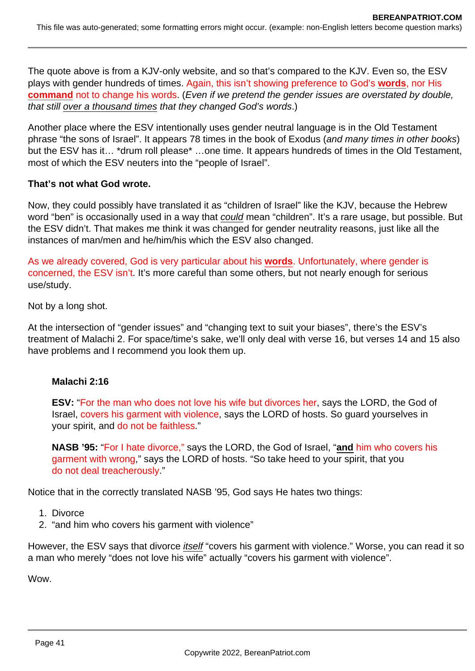The quote above is from a KJV-only website, and so that's compared to the KJV. Even so, the ESV plays with gender hundreds of times. Again, this isn't showing preference to God's **words**, nor His **command** not to change his words. (*Even if we pretend the gender issues are overstated by double,* that still over a thousand times that they changed God's words.)

Another place where the ESV intentionally uses gender neutral language is in the Old Testament phrase "the sons of Israel". It appears 78 times in the book of Exodus (and many times in other books) but the ESV has it... \*drum roll please\* ...one time. It appears hundreds of times in the Old Testament, most of which the ESV neuters into the "people of Israel".

### **That's not what God wrote.**

Now, they could possibly have translated it as "children of Israel" like the KJV, because the Hebrew word "ben" is occasionally used in a way that could mean "children". It's a rare usage, but possible. But the ESV didn't. That makes me think it was changed for gender neutrality reasons, just like all the instances of man/men and he/him/his which the ESV also changed.

As we already covered, God is very particular about his **words**. Unfortunately, where gender is concerned, the ESV isn't. It's more careful than some others, but not nearly enough for serious use/study.

Not by a long shot.

At the intersection of "gender issues" and "changing text to suit your biases", there's the ESV's treatment of Malachi 2. For space/time's sake, we'll only deal with verse 16, but verses 14 and 15 also have problems and I recommend you look them up.

#### **Malachi 2:16**

**ESV:** "For the man who does not love his wife but divorces her, says the LORD, the God of Israel, covers his garment with violence, says the LORD of hosts. So guard yourselves in your spirit, and do not be faithless."

**NASB '95:** "For I hate divorce," says the LORD, the God of Israel, "**and** him who covers his garment with wrong," says the LORD of hosts. "So take heed to your spirit, that you do not deal treacherously."

Notice that in the correctly translated NASB '95, God says He hates two things:

- 1. Divorce
- 2. "and him who covers his garment with violence"

However, the ESV says that divorce *itself* "covers his garment with violence." Worse, you can read it so a man who merely "does not love his wife" actually "covers his garment with violence".

Wow.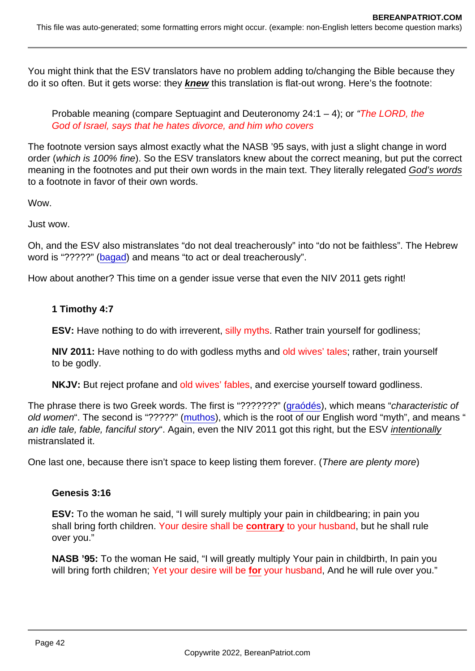You might think that the ESV translators have no problem adding to/changing the Bible because they do it so often. But it gets worse: they knew this translation is flat-out wrong. Here's the footnote:

Probable meaning (compare Septuagint and Deuteronomy 24:1 – 4); or "The LORD, the God of Israel, says that he hates divorce, and him who covers

The footnote version says almost exactly what the NASB '95 says, with just a slight change in word order (which is 100% fine). So the ESV translators knew about the correct meaning, but put the correct meaning in the footnotes and put their own words in the main text. They literally relegated God's words to a footnote in favor of their own words.

Wow.

Just wow.

Oh, and the ESV also mistranslates "do not deal treacherously" into "do not be faithless". The Hebrew word is "?????" [\(bagad](https://biblehub.com/hebrew/898.htm)) and means "to act or deal treacherously".

How about another? This time on a gender issue verse that even the NIV 2011 gets right!

1 Timothy 4:7

ESV: Have nothing to do with irreverent, silly myths. Rather train yourself for godliness;

NIV 2011: Have nothing to do with godless myths and old wives' tales; rather, train yourself to be godly.

NKJV: But reject profane and old wives' fables, and exercise yourself toward godliness.

The phrase there is two Greek words. The first is "???????" [\(graódés](https://biblehub.com/greek/1126.htm)), which means "characteristic of old women". The second is "?????" [\(muthos\)](https://biblehub.com/greek/3454.htm), which is the root of our English word "myth", and means " an idle tale, fable, fanciful story". Again, even the NIV 2011 got this right, but the ESV intentionally mistranslated it.

One last one, because there isn't space to keep listing them forever. (There are plenty more)

Genesis 3:16

ESV: To the woman he said, "I will surely multiply your pain in childbearing; in pain you shall bring forth children. Your desire shall be contrary to your husband, but he shall rule over you."

NASB '95: To the woman He said, "I will greatly multiply Your pain in childbirth, In pain you will bring forth children; Yet your desire will be for your husband, And he will rule over you."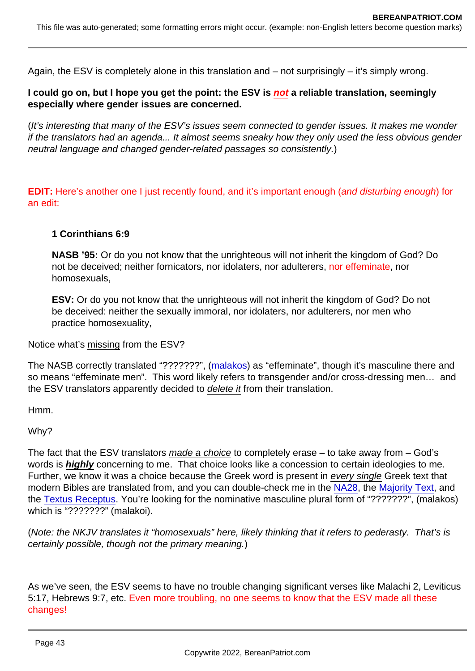Again, the ESV is completely alone in this translation and – not surprisingly – it's simply wrong.

I could go on, but I hope you get the point: the ESV is not a reliable translation, seemingly especially where gender issues are concerned.

(It's interesting that many of the ESV's issues seem connected to gender issues. It makes me wonder if the translators had an agenda... It almost seems sneaky how they only used the less obvious gender neutral language and changed gender-related passages so consistently.)

EDIT: Here's another one I just recently found, and it's important enough (and disturbing enough) for an edit:

1 Corinthians 6:9

NASB '95: Or do you not know that the unrighteous will not inherit the kingdom of God? Do not be deceived; neither fornicators, nor idolaters, nor adulterers, nor effeminate, nor homosexuals,

ESV: Or do you not know that the unrighteous will not inherit the kingdom of God? Do not be deceived: neither the sexually immoral, nor idolaters, nor adulterers, nor men who practice homosexuality,

Notice what's missing from the ESV?

The NASB correctly translated "???????", [\(malakos\)](https://biblehub.com/greek/3120.htm) as "effeminate", though it's masculine there and so means "effeminate men". This word likely refers to transgender and/or cross-dressing men… and the ESV translators apparently decided to delete it from their translation.

Hmm.

Why?

The fact that the ESV translators made a choice to completely erase – to take away from – God's words is highly concerning to me. That choice looks like a concession to certain ideologies to me. Further, we know it was a choice because the Greek word is present in every single Greek text that modern Bibles are translated from, and you can double-check me in the [NA28,](https://www.academic-bible.com/en/online-bibles/novum-testamentum-graece-na-28/read-the-bible-text/bibel/text/lesen/stelle/56/60001/69999/ch/ad22e27c263f790db9b19fc7d8d5818a/) the [Majority Text,](https://newchristianbiblestudy.org/bible/greek-byzantine-2000/1-corinthians/6/) and the [Textus Receptus](https://www.logosapostolic.org/bibles/textus_receptus/1_corinthians/fcor06.htm). You're looking for the nominative masculine plural form of "???????", (malakos) which is "???????" (malakoi).

(Note: the NKJV translates it "homosexuals" here, likely thinking that it refers to pederasty. That's is certainly possible, though not the primary meaning.)

As we've seen, the ESV seems to have no trouble changing significant verses like Malachi 2, Leviticus 5:17, Hebrews 9:7, etc. Even more troubling, no one seems to know that the ESV made all these changes!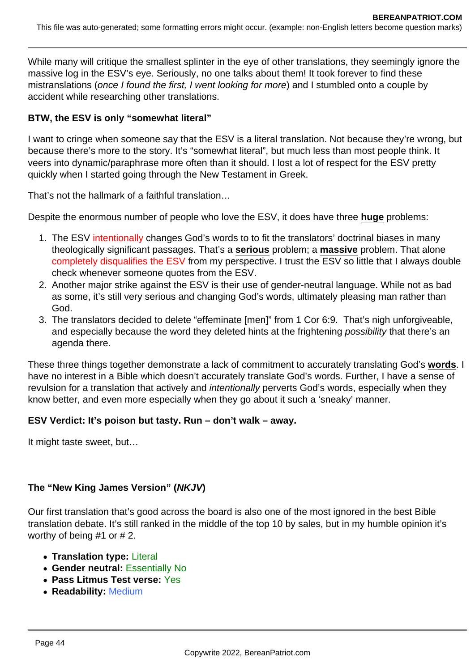While many will critique the smallest splinter in the eye of other translations, they seemingly ignore the massive log in the ESV's eye. Seriously, no one talks about them! It took forever to find these mistranslations (once I found the first, I went looking for more) and I stumbled onto a couple by accident while researching other translations.

### **BTW, the ESV is only "somewhat literal"**

I want to cringe when someone say that the ESV is a literal translation. Not because they're wrong, but because there's more to the story. It's "somewhat literal", but much less than most people think. It veers into dynamic/paraphrase more often than it should. I lost a lot of respect for the ESV pretty quickly when I started going through the New Testament in Greek.

That's not the hallmark of a faithful translation…

Despite the enormous number of people who love the ESV, it does have three **huge** problems:

- 1. The ESV intentionally changes God's words to to fit the translators' doctrinal biases in many theologically significant passages. That's a **serious** problem; a **massive** problem. That alone completely disqualifies the ESV from my perspective. I trust the ESV so little that I always double check whenever someone quotes from the ESV.
- 2. Another major strike against the ESV is their use of gender-neutral language. While not as bad as some, it's still very serious and changing God's words, ultimately pleasing man rather than God.
- 3. The translators decided to delete "effeminate [men]" from 1 Cor 6:9. That's nigh unforgiveable, and especially because the word they deleted hints at the frightening possibility that there's an agenda there.

These three things together demonstrate a lack of commitment to accurately translating God's **words**. I have no interest in a Bible which doesn't accurately translate God's words. Further, I have a sense of revulsion for a translation that actively and *intentionally* perverts God's words, especially when they know better, and even more especially when they go about it such a 'sneaky' manner.

### **ESV Verdict: It's poison but tasty. Run – don't walk – away.**

It might taste sweet, but…

### **The "New King James Version" (NKJV)**

Our first translation that's good across the board is also one of the most ignored in the best Bible translation debate. It's still ranked in the middle of the top 10 by sales, but in my humble opinion it's worthy of being #1 or # 2.

- **Translation type:** Literal
- **Gender neutral:** Essentially No
- **Pass Litmus Test verse:** Yes
- **Readability:** Medium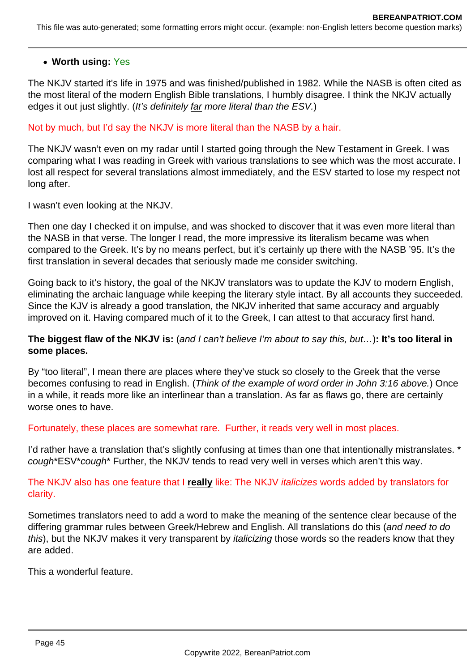### **Worth using:** Yes

The NKJV started it's life in 1975 and was finished/published in 1982. While the NASB is often cited as the most literal of the modern English Bible translations, I humbly disagree. I think the NKJV actually edges it out just slightly. (It's definitely far more literal than the ESV.)

Not by much, but I'd say the NKJV is more literal than the NASB by a hair.

The NKJV wasn't even on my radar until I started going through the New Testament in Greek. I was comparing what I was reading in Greek with various translations to see which was the most accurate. I lost all respect for several translations almost immediately, and the ESV started to lose my respect not long after.

I wasn't even looking at the NKJV.

Then one day I checked it on impulse, and was shocked to discover that it was even more literal than the NASB in that verse. The longer I read, the more impressive its literalism became was when compared to the Greek. It's by no means perfect, but it's certainly up there with the NASB '95. It's the first translation in several decades that seriously made me consider switching.

Going back to it's history, the goal of the NKJV translators was to update the KJV to modern English, eliminating the archaic language while keeping the literary style intact. By all accounts they succeeded. Since the KJV is already a good translation, the NKJV inherited that same accuracy and arguably improved on it. Having compared much of it to the Greek, I can attest to that accuracy first hand.

### **The biggest flaw of the NKJV is:** (and I can't believe I'm about to say this, but…)**: It's too literal in some places.**

By "too literal", I mean there are places where they've stuck so closely to the Greek that the verse becomes confusing to read in English. (Think of the example of word order in John 3:16 above.) Once in a while, it reads more like an interlinear than a translation. As far as flaws go, there are certainly worse ones to have.

Fortunately, these places are somewhat rare. Further, it reads very well in most places.

I'd rather have a translation that's slightly confusing at times than one that intentionally mistranslates. \* cough\*ESV\*cough\* Further, the NKJV tends to read very well in verses which aren't this way.

The NKJV also has one feature that I **really** like: The NKJV italicizes words added by translators for clarity.

Sometimes translators need to add a word to make the meaning of the sentence clear because of the differing grammar rules between Greek/Hebrew and English. All translations do this (and need to do this), but the NKJV makes it very transparent by *italicizing* those words so the readers know that they are added.

This a wonderful feature.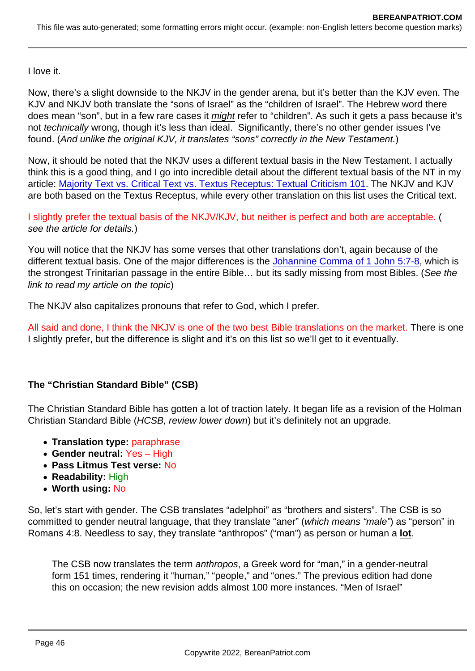I love it.

Now, there's a slight downside to the NKJV in the gender arena, but it's better than the KJV even. The KJV and NKJV both translate the "sons of Israel" as the "children of Israel". The Hebrew word there does mean "son", but in a few rare cases it might refer to "children". As such it gets a pass because it's not technically wrong, though it's less than ideal. Significantly, there's no other gender issues I've found. (And unlike the original KJV, it translates "sons" correctly in the New Testament.)

Now, it should be noted that the NKJV uses a different textual basis in the New Testament. I actually think this is a good thing, and I go into incredible detail about the different textual basis of the NT in my article: [Majority Text vs. Critical Text vs. Textus Receptus: Textual Criticism 101](https://www.bereanpatriot.com/majority-text-vs-critical-text-vs-textus-receptus-textual-criticism-101/). The NKJV and KJV are both based on the Textus Receptus, while every other translation on this list uses the Critical text.

I slightly prefer the textual basis of the NKJV/KJV, but neither is perfect and both are acceptable. ( see the article for details.)

You will notice that the NKJV has some verses that other translations don't, again because of the different textual basis. One of the major differences is the [Johannine Comma of 1 John 5:7-8,](https://www.bereanpatriot.com/the-johannine-comma-of-1-john-57-8-added-or-removed/) which is the strongest Trinitarian passage in the entire Bible… but its sadly missing from most Bibles. (See the link to read my article on the topic)

The NKJV also capitalizes pronouns that refer to God, which I prefer.

All said and done, I think the NKJV is one of the two best Bible translations on the market. There is one I slightly prefer, but the difference is slight and it's on this list so we'll get to it eventually.

The "Christian Standard Bible" (CSB)

The Christian Standard Bible has gotten a lot of traction lately. It began life as a revision of the Holman Christian Standard Bible (HCSB, review lower down) but it's definitely not an upgrade.

- Translation type: paraphrase
- Gender neutral: Yes High
- Pass Litmus Test verse: No
- Readability: High
- Worth using: No

So, let's start with gender. The CSB translates "adelphoi" as "brothers and sisters". The CSB is so committed to gender neutral language, that they translate "aner" (which means "male") as "person" in Romans 4:8. Needless to say, they translate "anthropos" ("man") as person or human a lot .

The CSB now translates the term anthropos, a Greek word for "man," in a gender-neutral form 151 times, rendering it "human," "people," and "ones." The previous edition had done this on occasion; the new revision adds almost 100 more instances. "Men of Israel"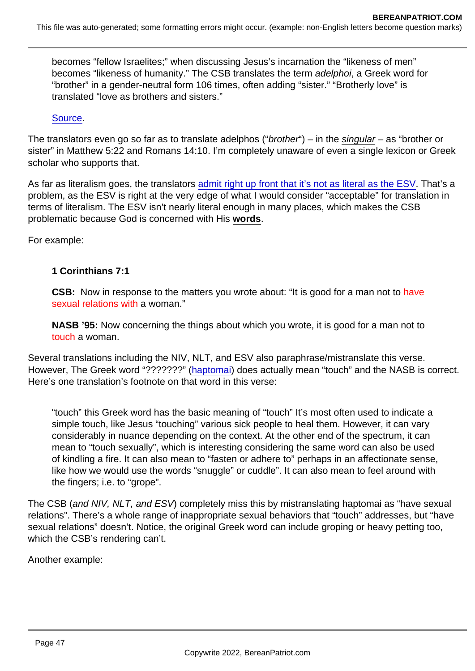becomes "fellow Israelites;" when discussing Jesus's incarnation the "likeness of men" becomes "likeness of humanity." The CSB translates the term adelphoi, a Greek word for "brother" in a gender-neutral form 106 times, often adding "sister." "Brotherly love" is translated "love as brothers and sisters."

[Source](https://www.thegospelcoalition.org/themelios/article/a-review-of-the-christian-standard-bible/).

The translators even go so far as to translate adelphos ("brother") – in the singular – as "brother or sister" in Matthew 5:22 and Romans 14:10. I'm completely unaware of even a single lexicon or Greek scholar who supports that.

As far as literalism goes, the translators [admit right up front that it's not as literal as the ESV](https://csbible.com/about-the-csb/translation-philosophy/). That's a problem, as the ESV is right at the very edge of what I would consider "acceptable" for translation in terms of literalism. The ESV isn't nearly literal enough in many places, which makes the CSB problematic because God is concerned with His words .

For example:

1 Corinthians 7:1

CSB: Now in response to the matters you wrote about: "It is good for a man not to have sexual relations with a woman."

NASB '95: Now concerning the things about which you wrote, it is good for a man not to touch a woman.

Several translations including the NIV, NLT, and ESV also paraphrase/mistranslate this verse. However, The Greek word "???????" [\(haptomai\)](https://biblehub.com/greek/680.htm) does actually mean "touch" and the NASB is correct. Here's one translation's footnote on that word in this verse:

"touch" this Greek word has the basic meaning of "touch" It's most often used to indicate a simple touch, like Jesus "touching" various sick people to heal them. However, it can vary considerably in nuance depending on the context. At the other end of the spectrum, it can mean to "touch sexually", which is interesting considering the same word can also be used of kindling a fire. It can also mean to "fasten or adhere to" perhaps in an affectionate sense, like how we would use the words "snuggle" or cuddle". It can also mean to feel around with the fingers; i.e. to "grope".

The CSB (and NIV, NLT, and ESV) completely miss this by mistranslating haptomai as "have sexual relations". There's a whole range of inappropriate sexual behaviors that "touch" addresses, but "have sexual relations" doesn't. Notice, the original Greek word can include groping or heavy petting too, which the CSB's rendering can't.

Another example: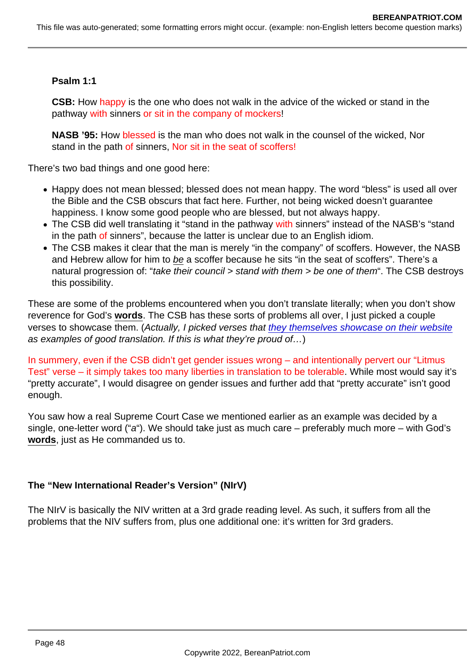Psalm 1:1

CSB: How happy is the one who does not walk in the advice of the wicked or stand in the pathway with sinners or sit in the company of mockers!

NASB '95: How blessed is the man who does not walk in the counsel of the wicked, Nor stand in the path of sinners, Nor sit in the seat of scoffers!

There's two bad things and one good here:

- Happy does not mean blessed; blessed does not mean happy. The word "bless" is used all over the Bible and the CSB obscurs that fact here. Further, not being wicked doesn't guarantee happiness. I know some good people who are blessed, but not always happy.
- The CSB did well translating it "stand in the pathway with sinners" instead of the NASB's "stand in the path of sinners", because the latter is unclear due to an English idiom.
- The CSB makes it clear that the man is merely "in the company" of scoffers. However, the NASB and Hebrew allow for him to be a scoffer because he sits "in the seat of scoffers". There's a natural progression of: "take their council > stand with them > be one of them". The CSB destroys this possibility.

These are some of the problems encountered when you don't translate literally; when you don't show reverence for God's words . The CSB has these sorts of problems all over, I just picked a couple verses to showcase them. (Actually, I picked verses that [they themselves showcase on their website](https://csbible.com/read-the-csb/verse-comparison/) as examples of good translation. If this is what they're proud of…)

In summery, even if the CSB didn't get gender issues wrong – and intentionally pervert our "Litmus Test" verse – it simply takes too many liberties in translation to be tolerable. While most would say it's "pretty accurate", I would disagree on gender issues and further add that "pretty accurate" isn't good enough.

You saw how a real Supreme Court Case we mentioned earlier as an example was decided by a single, one-letter word ("a"). We should take just as much care – preferably much more – with God's words , just as He commanded us to.

The "New International Reader's Version" (NIrV)

The NIrV is basically the NIV written at a 3rd grade reading level. As such, it suffers from all the problems that the NIV suffers from, plus one additional one: it's written for 3rd graders.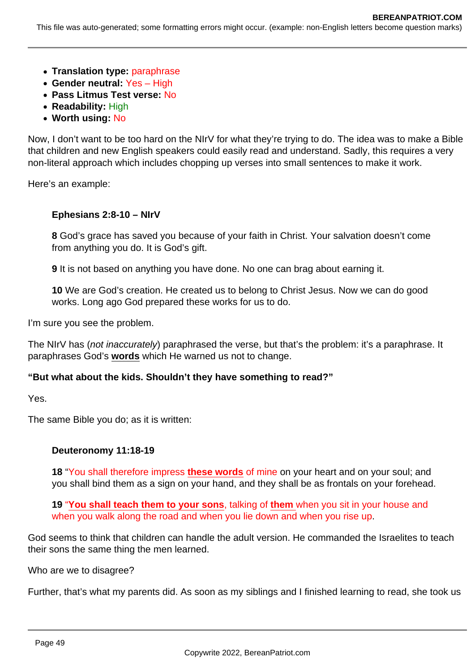This file was auto-generated; some formatting errors might occur. (example: non-English letters become question marks)

- **Translation type:** paraphrase
- **Gender neutral:** Yes High
- **Pass Litmus Test verse:** No
- **Readability:** High
- **Worth using:** No

Now, I don't want to be too hard on the NIrV for what they're trying to do. The idea was to make a Bible that children and new English speakers could easily read and understand. Sadly, this requires a very non-literal approach which includes chopping up verses into small sentences to make it work.

Here's an example:

#### **Ephesians 2:8-10 – NIrV**

**8** God's grace has saved you because of your faith in Christ. Your salvation doesn't come from anything you do. It is God's gift.

**9** It is not based on anything you have done. No one can brag about earning it.

**10** We are God's creation. He created us to belong to Christ Jesus. Now we can do good works. Long ago God prepared these works for us to do.

I'm sure you see the problem.

The NIrV has (not inaccurately) paraphrased the verse, but that's the problem: it's a paraphrase. It paraphrases God's **words** which He warned us not to change.

#### **"But what about the kids. Shouldn't they have something to read?"**

Yes.

The same Bible you do; as it is written:

#### **Deuteronomy 11:18-19**

**18** "You shall therefore impress **these words** of mine on your heart and on your soul; and you shall bind them as a sign on your hand, and they shall be as frontals on your forehead.

**19** "**You shall teach them to your sons**, talking of **them** when you sit in your house and when you walk along the road and when you lie down and when you rise up.

God seems to think that children can handle the adult version. He commanded the Israelites to teach their sons the same thing the men learned.

Who are we to disagree?

Further, that's what my parents did. As soon as my siblings and I finished learning to read, she took us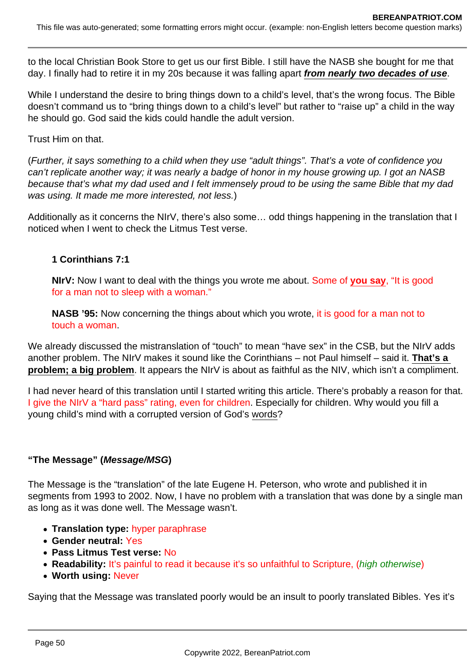to the local Christian Book Store to get us our first Bible. I still have the NASB she bought for me that day. I finally had to retire it in my 20s because it was falling apart **from nearly two decades of use**.

While I understand the desire to bring things down to a child's level, that's the wrong focus. The Bible doesn't command us to "bring things down to a child's level" but rather to "raise up" a child in the way he should go. God said the kids could handle the adult version.

Trust Him on that.

(Further, it says something to a child when they use "adult things". That's a vote of confidence you can't replicate another way; it was nearly a badge of honor in my house growing up. I got an NASB because that's what my dad used and I felt immensely proud to be using the same Bible that my dad was using. It made me more interested, not less.)

Additionally as it concerns the NIrV, there's also some… odd things happening in the translation that I noticed when I went to check the Litmus Test verse.

### **1 Corinthians 7:1**

**NIrV:** Now I want to deal with the things you wrote me about. Some of **you say**, "It is good for a man not to sleep with a woman."

**NASB '95:** Now concerning the things about which you wrote, it is good for a man not to touch a woman.

We already discussed the mistranslation of "touch" to mean "have sex" in the CSB, but the NIrV adds another problem. The NIrV makes it sound like the Corinthians – not Paul himself – said it. **That's a problem; a big problem**. It appears the NIrV is about as faithful as the NIV, which isn't a compliment.

I had never heard of this translation until I started writing this article. There's probably a reason for that. I give the NIrV a "hard pass" rating, even for children. Especially for children. Why would you fill a young child's mind with a corrupted version of God's words?

### **"The Message" (Message/MSG)**

The Message is the "translation" of the late Eugene H. Peterson, who wrote and published it in segments from 1993 to 2002. Now, I have no problem with a translation that was done by a single man as long as it was done well. The Message wasn't.

- **Translation type:** hyper paraphrase
- **Gender neutral:** Yes
- **Pass Litmus Test verse:** No
- **Readability:** It's painful to read it because it's so unfaithful to Scripture, (high otherwise)
- **Worth using:** Never

Saying that the Message was translated poorly would be an insult to poorly translated Bibles. Yes it's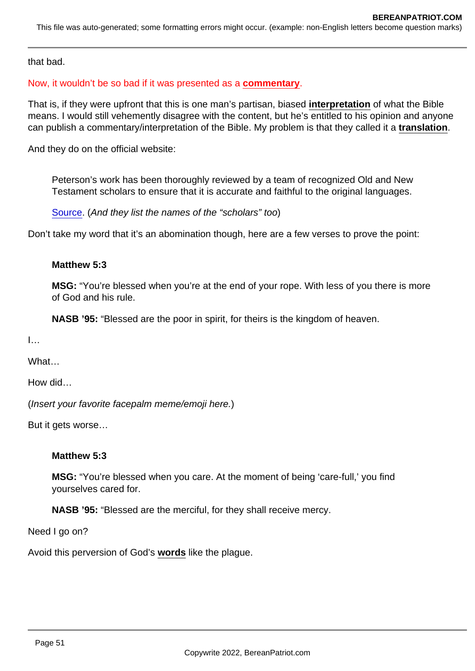that bad.

### Now, it wouldn't be so bad if it was presented as a commentary .

That is, if they were upfront that this is one man's partisan, biased interpretation of what the Bible means. I would still vehemently disagree with the content, but he's entitled to his opinion and anyone can publish a commentary/interpretation of the Bible. My problem is that they called it a translation .

And they do on the official website:

Peterson's work has been thoroughly reviewed by a team of recognized Old and New Testament scholars to ensure that it is accurate and faithful to the original languages.

[Source](https://messagebible.com/about/). (And they list the names of the "scholars" too)

Don't take my word that it's an abomination though, here are a few verses to prove the point:

Matthew 5:3

MSG: "You're blessed when you're at the end of your rope. With less of you there is more of God and his rule.

NASB '95: "Blessed are the poor in spirit, for theirs is the kingdom of heaven.

 $\mathbf{I}$ …

**What** 

How did…

(Insert your favorite facepalm meme/emoji here.)

But it gets worse…

Matthew 5:3

MSG: "You're blessed when you care. At the moment of being 'care-full,' you find yourselves cared for.

NASB '95: "Blessed are the merciful, for they shall receive mercy.

Need I go on?

Avoid this perversion of God's words like the plague.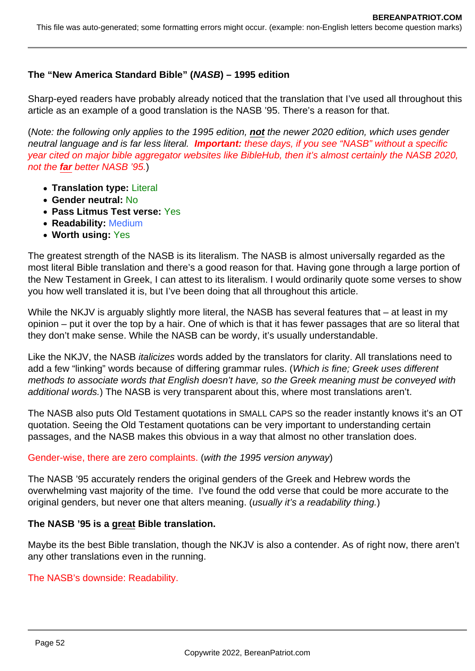### **The "New America Standard Bible" (NASB) – 1995 edition**

Sharp-eyed readers have probably already noticed that the translation that I've used all throughout this article as an example of a good translation is the NASB '95. There's a reason for that.

(Note: the following only applies to the 1995 edition, **not** the newer 2020 edition, which uses gender neutral language and is far less literal. **Important:** these days, if you see "NASB" without a specific year cited on major bible aggregator websites like BibleHub, then it's almost certainly the NASB 2020, not the **far** better NASB '95.)

- **Translation type:** Literal
- **Gender neutral:** No
- **Pass Litmus Test verse:** Yes
- **Readability:** Medium
- **Worth using:** Yes

The greatest strength of the NASB is its literalism. The NASB is almost universally regarded as the most literal Bible translation and there's a good reason for that. Having gone through a large portion of the New Testament in Greek, I can attest to its literalism. I would ordinarily quote some verses to show you how well translated it is, but I've been doing that all throughout this article.

While the NKJV is arguably slightly more literal, the NASB has several features that – at least in my opinion – put it over the top by a hair. One of which is that it has fewer passages that are so literal that they don't make sense. While the NASB can be wordy, it's usually understandable.

Like the NKJV, the NASB italicizes words added by the translators for clarity. All translations need to add a few "linking" words because of differing grammar rules. (Which is fine; Greek uses different methods to associate words that English doesn't have, so the Greek meaning must be conveyed with additional words.) The NASB is very transparent about this, where most translations aren't.

The NASB also puts Old Testament quotations in SMALL CAPS so the reader instantly knows it's an OT quotation. Seeing the Old Testament quotations can be very important to understanding certain passages, and the NASB makes this obvious in a way that almost no other translation does.

#### Gender-wise, there are zero complaints. (with the 1995 version anyway)

The NASB '95 accurately renders the original genders of the Greek and Hebrew words the overwhelming vast majority of the time. I've found the odd verse that could be more accurate to the original genders, but never one that alters meaning. (usually it's a readability thing.)

#### **The NASB '95 is a great Bible translation.**

Maybe its the best Bible translation, though the NKJV is also a contender. As of right now, there aren't any other translations even in the running.

#### The NASB's downside: Readability.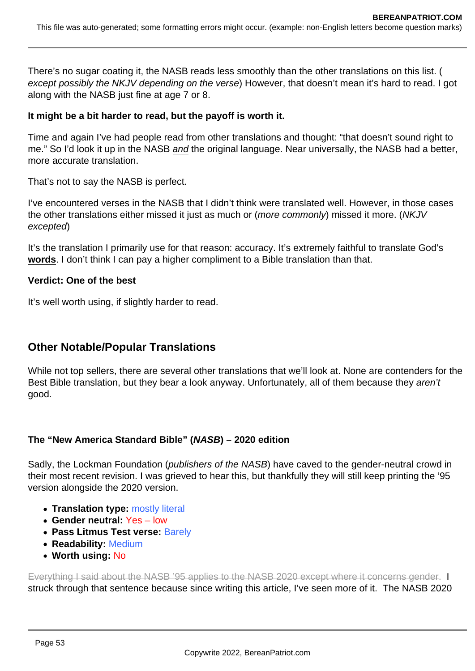There's no sugar coating it, the NASB reads less smoothly than the other translations on this list. ( except possibly the NKJV depending on the verse) However, that doesn't mean it's hard to read. I got along with the NASB just fine at age 7 or 8.

### **It might be a bit harder to read, but the payoff is worth it.**

Time and again I've had people read from other translations and thought: "that doesn't sound right to me." So I'd look it up in the NASB and the original language. Near universally, the NASB had a better, more accurate translation.

That's not to say the NASB is perfect.

I've encountered verses in the NASB that I didn't think were translated well. However, in those cases the other translations either missed it just as much or (more commonly) missed it more. (NKJV excepted)

It's the translation I primarily use for that reason: accuracy. It's extremely faithful to translate God's **words**. I don't think I can pay a higher compliment to a Bible translation than that.

### **Verdict: One of the best**

It's well worth using, if slightly harder to read.

# **Other Notable/Popular Translations**

While not top sellers, there are several other translations that we'll look at. None are contenders for the Best Bible translation, but they bear a look anyway. Unfortunately, all of them because they aren't good.

### **The "New America Standard Bible" (NASB) – 2020 edition**

Sadly, the Lockman Foundation (*publishers of the NASB*) have caved to the gender-neutral crowd in their most recent revision. I was grieved to hear this, but thankfully they will still keep printing the '95 version alongside the 2020 version.

- **Translation type:** mostly literal
- **Gender neutral:** Yes low
- **Pass Litmus Test verse:** Barely
- **Readability:** Medium
- **Worth using:** No

Everything I said about the NASB '95 applies to the NASB 2020 except where it concerns gender. I struck through that sentence because since writing this article, I've seen more of it. The NASB 2020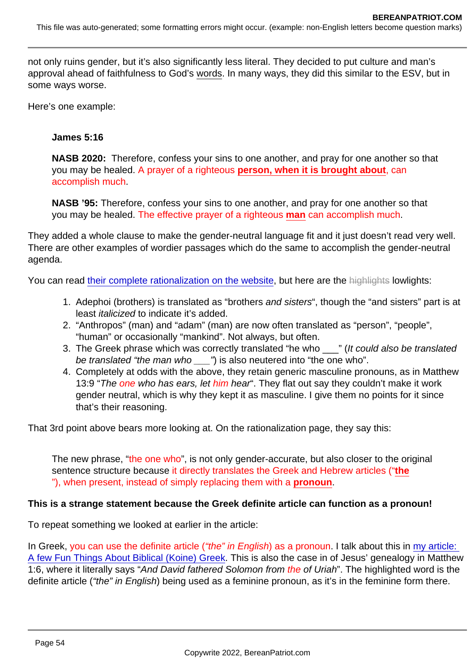not only ruins gender, but it's also significantly less literal. They decided to put culture and man's approval ahead of faithfulness to God's words. In many ways, they did this similar to the ESV, but in some ways worse.

Here's one example:

James 5:16

NASB 2020: Therefore, confess your sins to one another, and pray for one another so that you may be healed. A prayer of a righteous person, when it is brought about , can accomplish much.

NASB '95: Therefore, confess your sins to one another, and pray for one another so that you may be healed. The effective prayer of a righteous man can accomplish much.

They added a whole clause to make the gender-neutral language fit and it just doesn't read very well. There are other examples of wordier passages which do the same to accomplish the gender-neutral agenda.

You can read [their complete rationalization on the website](https://www.lockman.org/gender-accurate-language-in-the-nasb-2020/), but here are the highlights lowlights:

- 1. Adephoi (brothers) is translated as "brothers and sisters", though the "and sisters" part is at least italicized to indicate it's added.
- 2. "Anthropos" (man) and "adam" (man) are now often translated as "person", "people", "human" or occasionally "mankind". Not always, but often.
- 3. The Greek phrase which was correctly translated "he who \_\_\_" (It could also be translated be translated "the man who \_\_\_") is also neutered into "the one who".
- 4. Completely at odds with the above, they retain generic masculine pronouns, as in Matthew 13:9 "The one who has ears, let him hear". They flat out say they couldn't make it work gender neutral, which is why they kept it as masculine. I give them no points for it since that's their reasoning.

That 3rd point above bears more looking at. On the rationalization page, they say this:

The new phrase, "the one who", is not only gender-accurate, but also closer to the original sentence structure because it directly translates the Greek and Hebrew articles ("the "), when present, instead of simply replacing them with a pronoun .

This is a strange statement because the Greek definite article can function as a pronoun!

To repeat something we looked at earlier in the article:

In Greek, you can use the definite article ("the" in English) as a pronoun. I talk about this in my article: [A few Fun Things About Biblical \(Koine\) Greek](https://www.bereanpatriot.com/a-few-fun-things-about-biblical-koine-greek/). This is also the case in of Jesus' genealogy in Matthew 1:6, where it literally says "And David fathered Solomon from the of Uriah". The highlighted word is the definite article ("the" in English) being used as a feminine pronoun, as it's in the feminine form there.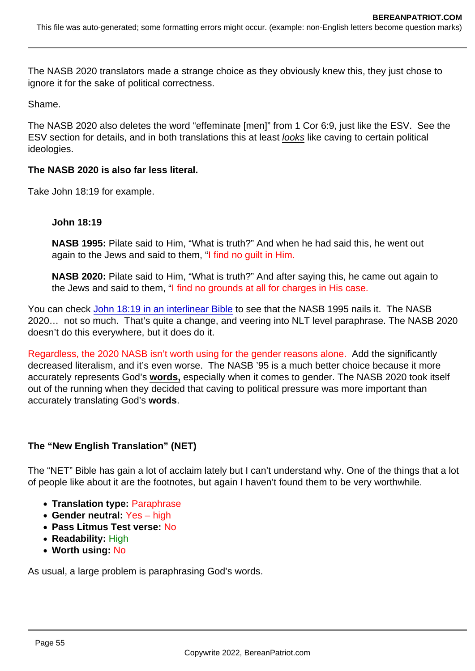The NASB 2020 translators made a strange choice as they obviously knew this, they just chose to ignore it for the sake of political correctness.

Shame.

The NASB 2020 also deletes the word "effeminate [men]" from 1 Cor 6:9, just like the ESV. See the ESV section for details, and in both translations this at least looks like caving to certain political ideologies.

The NASB 2020 is also far less literal.

Take John 18:19 for example.

John 18:19

NASB 1995: Pilate said to Him, "What is truth?" And when he had said this, he went out again to the Jews and said to them, "I find no guilt in Him.

NASB 2020: Pilate said to Him, "What is truth?" And after saying this, he came out again to the Jews and said to them, "I find no grounds at all for charges in His case.

You can check [John 18:19 in an interlinear Bible](https://biblehub.com/interlinear/john/18-38.htm) to see that the NASB 1995 nails it. The NASB 2020… not so much. That's quite a change, and veering into NLT level paraphrase. The NASB 2020 doesn't do this everywhere, but it does do it.

Regardless, the 2020 NASB isn't worth using for the gender reasons alone. Add the significantly decreased literalism, and it's even worse. The NASB '95 is a much better choice because it more accurately represents God's words, especially when it comes to gender. The NASB 2020 took itself out of the running when they decided that caving to political pressure was more important than accurately translating God's words .

The "New English Translation" (NET)

The "NET" Bible has gain a lot of acclaim lately but I can't understand why. One of the things that a lot of people like about it are the footnotes, but again I haven't found them to be very worthwhile.

- Translation type: Paraphrase
- Gender neutral: Yes high
- Pass Litmus Test verse: No
- Readability: High
- Worth using: No

As usual, a large problem is paraphrasing God's words.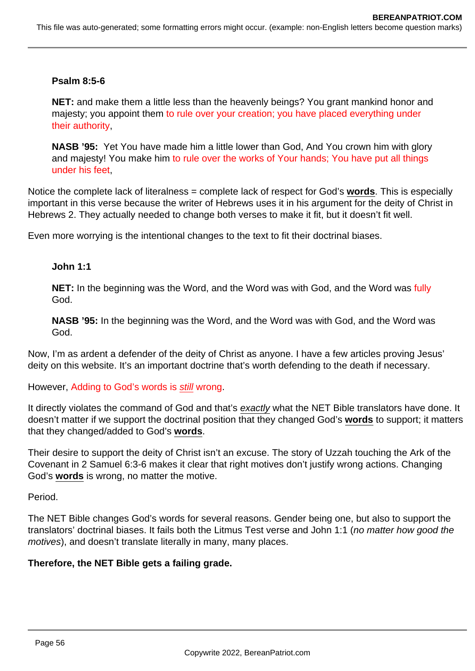#### **Psalm 8:5-6**

**NET:** and make them a little less than the heavenly beings? You grant mankind honor and majesty; you appoint them to rule over your creation; you have placed everything under their authority,

**NASB '95:** Yet You have made him a little lower than God, And You crown him with glory and majesty! You make him to rule over the works of Your hands; You have put all things under his feet,

Notice the complete lack of literalness = complete lack of respect for God's **words**. This is especially important in this verse because the writer of Hebrews uses it in his argument for the deity of Christ in Hebrews 2. They actually needed to change both verses to make it fit, but it doesn't fit well.

Even more worrying is the intentional changes to the text to fit their doctrinal biases.

#### **John 1:1**

**NET:** In the beginning was the Word, and the Word was with God, and the Word was fully God.

**NASB '95:** In the beginning was the Word, and the Word was with God, and the Word was God.

Now, I'm as ardent a defender of the deity of Christ as anyone. I have a few articles proving Jesus' deity on this website. It's an important doctrine that's worth defending to the death if necessary.

However, Adding to God's words is still wrong.

It directly violates the command of God and that's exactly what the NET Bible translators have done. It doesn't matter if we support the doctrinal position that they changed God's **words** to support; it matters that they changed/added to God's **words**.

Their desire to support the deity of Christ isn't an excuse. The story of Uzzah touching the Ark of the Covenant in 2 Samuel 6:3-6 makes it clear that right motives don't justify wrong actions. Changing God's **words** is wrong, no matter the motive.

Period.

The NET Bible changes God's words for several reasons. Gender being one, but also to support the translators' doctrinal biases. It fails both the Litmus Test verse and John 1:1 (no matter how good the motives), and doesn't translate literally in many, many places.

#### **Therefore, the NET Bible gets a failing grade.**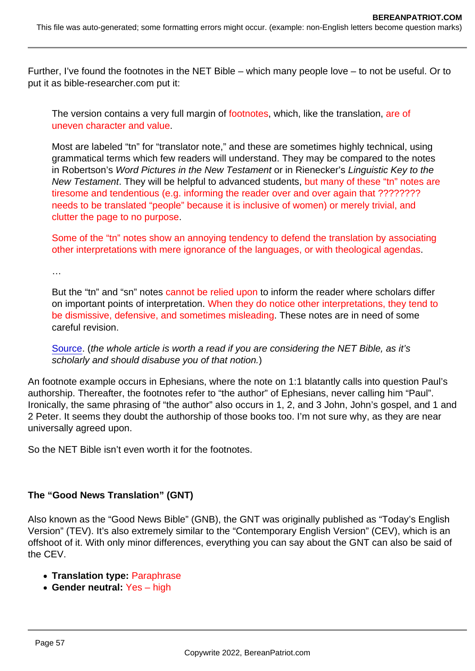Further, I've found the footnotes in the NET Bible – which many people love – to not be useful. Or to put it as bible-researcher.com put it:

The version contains a very full margin of footnotes, which, like the translation, are of uneven character and value.

Most are labeled "tn" for "translator note," and these are sometimes highly technical, using grammatical terms which few readers will understand. They may be compared to the notes in Robertson's Word Pictures in the New Testament or in Rienecker's Linguistic Key to the New Testament. They will be helpful to advanced students, but many of these "tn" notes are tiresome and tendentious (e.g. informing the reader over and over again that ????????? needs to be translated "people" because it is inclusive of women) or merely trivial, and clutter the page to no purpose.

Some of the "tn" notes show an annoying tendency to defend the translation by associating other interpretations with mere ignorance of the languages, or with theological agendas.

…

But the "tn" and "sn" notes cannot be relied upon to inform the reader where scholars differ on important points of interpretation. When they do notice other interpretations, they tend to be dismissive, defensive, and sometimes misleading. These notes are in need of some careful revision.

[Source](http://www.bible-researcher.com/net.html). (the whole article is worth a read if you are considering the NET Bible, as it's scholarly and should disabuse you of that notion.)

An footnote example occurs in Ephesians, where the note on 1:1 blatantly calls into question Paul's authorship. Thereafter, the footnotes refer to "the author" of Ephesians, never calling him "Paul". Ironically, the same phrasing of "the author" also occurs in 1, 2, and 3 John, John's gospel, and 1 and 2 Peter. It seems they doubt the authorship of those books too. I'm not sure why, as they are near universally agreed upon.

So the NET Bible isn't even worth it for the footnotes.

The "Good News Translation" (GNT)

Also known as the "Good News Bible" (GNB), the GNT was originally published as "Today's English Version" (TEV). It's also extremely similar to the "Contemporary English Version" (CEV), which is an offshoot of it. With only minor differences, everything you can say about the GNT can also be said of the CEV.

- Translation type: Paraphrase
- Gender neutral: Yes high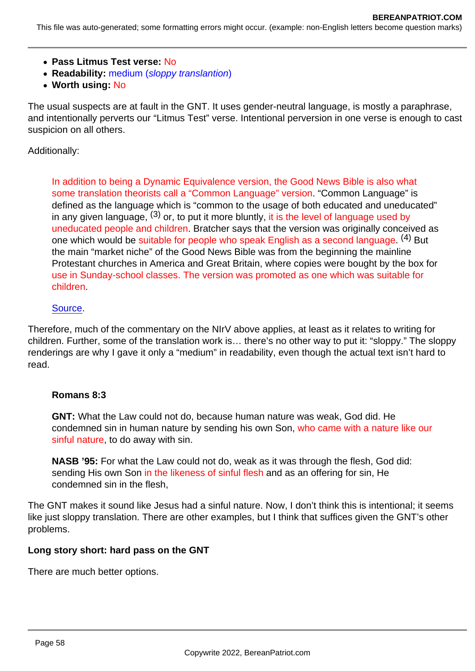- Pass Litmus Test verse: No
- Readability: medium (sloppy translantion)
- Worth using: No

The usual suspects are at fault in the GNT. It uses gender-neutral language, is mostly a paraphrase, and intentionally perverts our "Litmus Test" verse. Intentional perversion in one verse is enough to cast suspicion on all others.

Additionally:

In addition to being a Dynamic Equivalence version, the Good News Bible is also what some translation theorists call a "Common Language" version. "Common Language" is defined as the language which is "common to the usage of both educated and uneducated" in any given language,  $(3)$  or, to put it more bluntly, it is the level of language used by uneducated people and children. Bratcher says that the version was originally conceived as one which would be suitable for people who speak English as a second language. <sup>(4)</sup> But the main "market niche" of the Good News Bible was from the beginning the mainline Protestant churches in America and Great Britain, where copies were bought by the box for use in Sunday-school classes. The version was promoted as one which was suitable for children.

### [Source](http://www.bible-researcher.com/tev.html).

Therefore, much of the commentary on the NIrV above applies, at least as it relates to writing for children. Further, some of the translation work is… there's no other way to put it: "sloppy." The sloppy renderings are why I gave it only a "medium" in readability, even though the actual text isn't hard to read.

#### Romans 8:3

GNT: What the Law could not do, because human nature was weak, God did. He condemned sin in human nature by sending his own Son, who came with a nature like our sinful nature, to do away with sin.

NASB '95: For what the Law could not do, weak as it was through the flesh, God did: sending His own Son in the likeness of sinful flesh and as an offering for sin, He condemned sin in the flesh,

The GNT makes it sound like Jesus had a sinful nature. Now, I don't think this is intentional; it seems like just sloppy translation. There are other examples, but I think that suffices given the GNT's other problems.

Long story short: hard pass on the GNT

There are much better options.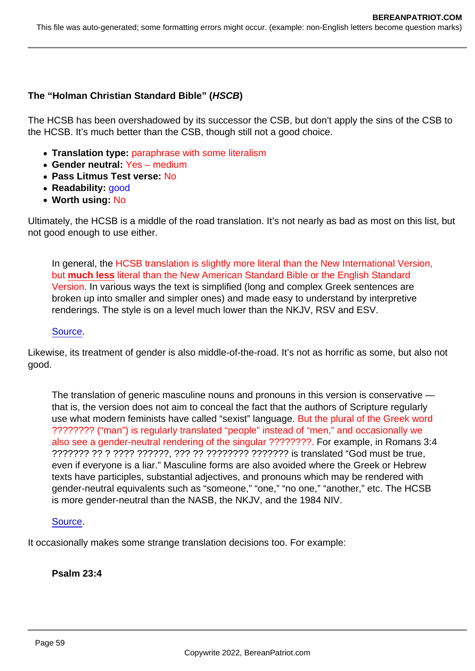The "Holman Christian Standard Bible" ( HSCB)

The HCSB has been overshadowed by its successor the CSB, but don't apply the sins of the CSB to the HCSB. It's much better than the CSB, though still not a good choice.

- Translation type: paraphrase with some literalism
- Gender neutral: Yes medium
- Pass Litmus Test verse: No
- Readability: **good**
- Worth using: No

Ultimately, the HCSB is a middle of the road translation. It's not nearly as bad as most on this list, but not good enough to use either.

In general, the HCSB translation is slightly more literal than the New International Version, but much less literal than the New American Standard Bible or the English Standard Version. In various ways the text is simplified (long and complex Greek sentences are broken up into smaller and simpler ones) and made easy to understand by interpretive renderings. The style is on a level much lower than the NKJV, RSV and ESV.

#### [Source](http://www.bible-researcher.com/csb.html).

Likewise, its treatment of gender is also middle-of-the-road. It's not as horrific as some, but also not good.

The translation of generic masculine nouns and pronouns in this version is conservative that is, the version does not aim to conceal the fact that the authors of Scripture regularly use what modern feminists have called "sexist" language. But the plural of the Greek word ???????? ("man") is regularly translated "people" instead of "men," and occasionally we also see a gender-neutral rendering of the singular ????????. For example, in Romans 3:4 ??????? ?? ? ???? ??????, ??? ?? ???????? ??????? is translated "God must be true, even if everyone is a liar." Masculine forms are also avoided where the Greek or Hebrew texts have participles, substantial adjectives, and pronouns which may be rendered with gender-neutral equivalents such as "someone," "one," "no one," "another," etc. The HCSB is more gender-neutral than the NASB, the NKJV, and the 1984 NIV.

#### [Source](http://www.bible-researcher.com/csb.html).

It occasionally makes some strange translation decisions too. For example:

Psalm 23:4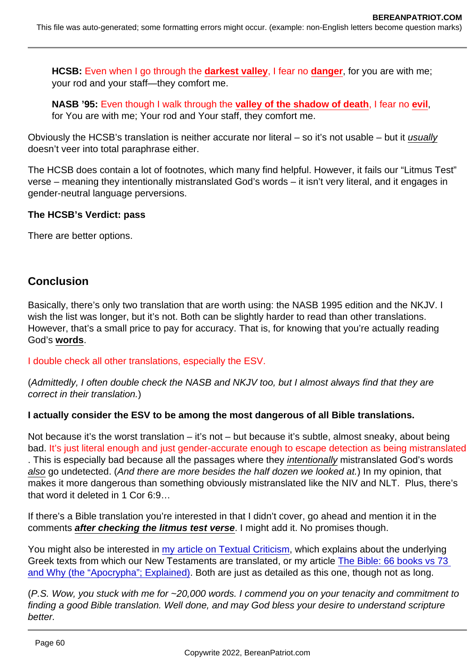HCSB: Even when I go through the darkest valley , I fear no danger , for you are with me; your rod and your staff—they comfort me.

NASB '95: Even though I walk through the valley of the shadow of death , I fear no evil , for You are with me; Your rod and Your staff, they comfort me.

Obviously the HCSB's translation is neither accurate nor literal – so it's not usable – but it usually doesn't veer into total paraphrase either.

The HCSB does contain a lot of footnotes, which many find helpful. However, it fails our "Litmus Test" verse – meaning they intentionally mistranslated God's words – it isn't very literal, and it engages in gender-neutral language perversions.

The HCSB's Verdict: pass

There are better options.

## **Conclusion**

Basically, there's only two translation that are worth using: the NASB 1995 edition and the NKJV. I wish the list was longer, but it's not. Both can be slightly harder to read than other translations. However, that's a small price to pay for accuracy. That is, for knowing that you're actually reading God's words .

I double check all other translations, especially the ESV.

(Admittedly, I often double check the NASB and NKJV too, but I almost always find that they are correct in their translation.)

I actually consider the ESV to be among the most dangerous of all Bible translations.

Not because it's the worst translation – it's not – but because it's subtle, almost sneaky, about being bad. It's just literal enough and just gender-accurate enough to escape detection as being mistranslated . This is especially bad because all the passages where they intentionally mistranslated God's words also go undetected. (And there are more besides the half dozen we looked at.) In my opinion, that makes it more dangerous than something obviously mistranslated like the NIV and NLT. Plus, there's that word it deleted in 1 Cor 6:9…

If there's a Bible translation you're interested in that I didn't cover, go ahead and mention it in the comments after checking the litmus test verse . I might add it. No promises though.

You might also be interested in [my article on Textual Criticism](https://www.bereanpatriot.com/majority-text-vs-critical-text-vs-textus-receptus-textual-criticism-101/), which explains about the underlying Greek texts from which our New Testaments are translated, or my article [The Bible: 66 books vs 73](https://www.bereanpatriot.com/the-bible-66-books-vs-73-and-why-the-apocrypha-explained/)  [and Why \(the "Apocrypha"; Explained\)](https://www.bereanpatriot.com/the-bible-66-books-vs-73-and-why-the-apocrypha-explained/). Both are just as detailed as this one, though not as long.

(P.S. Wow, you stuck with me for ~20,000 words. I commend you on your tenacity and commitment to finding a good Bible translation. Well done, and may God bless your desire to understand scripture better.